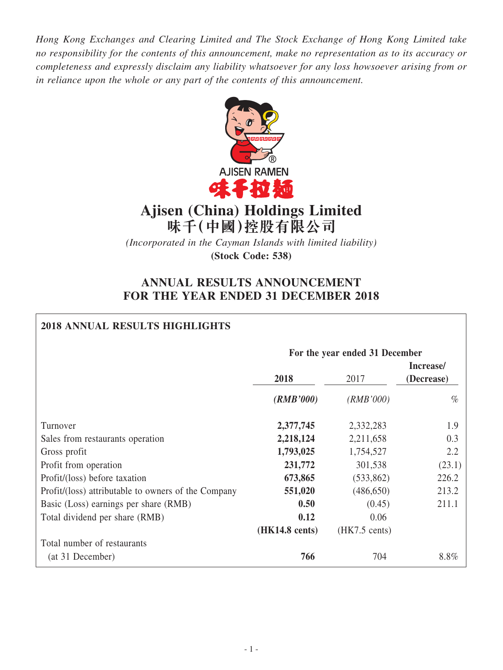*Hong Kong Exchanges and Clearing Limited and The Stock Exchange of Hong Kong Limited take no responsibility for the contents of this announcement, make no representation as to its accuracy or completeness and expressly disclaim any liability whatsoever for any loss howsoever arising from or in reliance upon the whole or any part of the contents of this announcement.*



# **Ajisen (China) Holdings Limited 味千(中國)控股有限公司**

*(Incorporated in the Cayman Islands with limited liability)* **(Stock Code: 538)**

# **ANNUAL RESULTS ANNOUNCEMENT FOR THE YEAR ENDED 31 DECEMBER 2018**

# **2018 ANNUAL RESULTS HIGHLIGHTS**

|                                                     | For the year ended 31 December |                         |                         |  |
|-----------------------------------------------------|--------------------------------|-------------------------|-------------------------|--|
|                                                     | 2018                           | 2017                    | Increase/<br>(Decrease) |  |
|                                                     | (RMB'000)                      | (RMB'000)               | $\%$                    |  |
| Turnover                                            | 2,377,745                      | 2,332,283               | 1.9                     |  |
| Sales from restaurants operation                    | 2,218,124                      | 2,211,658               | 0.3                     |  |
| Gross profit                                        | 1,793,025                      | 1,754,527               | 2.2                     |  |
| Profit from operation                               | 231,772                        | 301,538                 | (23.1)                  |  |
| Profit/(loss) before taxation                       | 673,865                        | (533, 862)              | 226.2                   |  |
| Profit/(loss) attributable to owners of the Company | 551,020                        | (486, 650)              | 213.2                   |  |
| Basic (Loss) earnings per share (RMB)               | 0.50                           | (0.45)                  | 211.1                   |  |
| Total dividend per share (RMB)                      | 0.12                           | 0.06                    |                         |  |
|                                                     | $(HK14.8 \text{ cents})$       | $(HK7.5 \text{ cents})$ |                         |  |
| Total number of restaurants                         |                                |                         |                         |  |
| (at 31 December)                                    | 766                            | 704                     | 8.8%                    |  |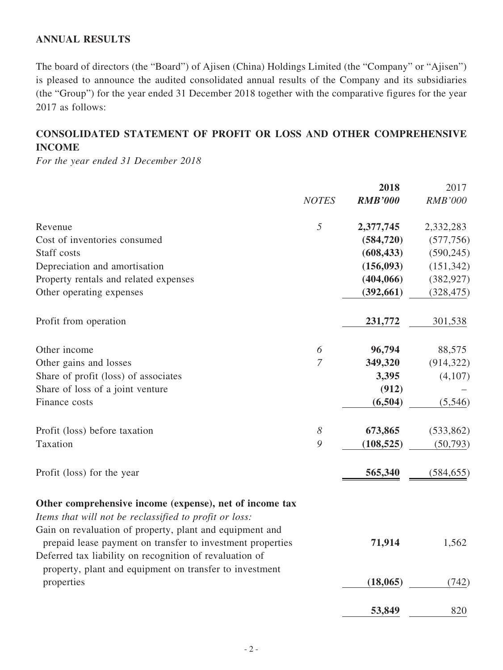# **ANNUAL RESULTS**

The board of directors (the "Board") of Ajisen (China) Holdings Limited (the "Company" or "Ajisen") is pleased to announce the audited consolidated annual results of the Company and its subsidiaries (the "Group") for the year ended 31 December 2018 together with the comparative figures for the year 2017 as follows:

# **CONSOLIDATED STATEMENT OF PROFIT OR LOSS AND OTHER COMPREHENSIVE INCOME**

*For the year ended 31 December 2018*

|                                                                                                                        |                       | 2018           | 2017           |
|------------------------------------------------------------------------------------------------------------------------|-----------------------|----------------|----------------|
|                                                                                                                        | <b>NOTES</b>          | <b>RMB'000</b> | <b>RMB'000</b> |
| Revenue                                                                                                                | 5                     | 2,377,745      | 2,332,283      |
| Cost of inventories consumed                                                                                           |                       | (584, 720)     | (577, 756)     |
| Staff costs                                                                                                            |                       | (608, 433)     | (590, 245)     |
| Depreciation and amortisation                                                                                          |                       | (156,093)      | (151, 342)     |
| Property rentals and related expenses                                                                                  |                       | (404, 066)     | (382, 927)     |
| Other operating expenses                                                                                               |                       | (392, 661)     | (328, 475)     |
| Profit from operation                                                                                                  |                       | 231,772        | 301,538        |
| Other income                                                                                                           | 6                     | 96,794         | 88,575         |
| Other gains and losses                                                                                                 | $\overline{7}$        | 349,320        | (914, 322)     |
| Share of profit (loss) of associates                                                                                   |                       | 3,395          | (4,107)        |
| Share of loss of a joint venture                                                                                       |                       | (912)          |                |
| Finance costs                                                                                                          |                       | (6,504)        | (5,546)        |
| Profit (loss) before taxation                                                                                          | $\boldsymbol{\delta}$ | 673,865        | (533, 862)     |
| Taxation                                                                                                               | 9                     | (108, 525)     | (50, 793)      |
| Profit (loss) for the year                                                                                             |                       | 565,340        | (584, 655)     |
| Other comprehensive income (expense), net of income tax                                                                |                       |                |                |
| Items that will not be reclassified to profit or loss:                                                                 |                       |                |                |
| Gain on revaluation of property, plant and equipment and<br>prepaid lease payment on transfer to investment properties |                       | 71,914         | 1,562          |
| Deferred tax liability on recognition of revaluation of<br>property, plant and equipment on transfer to investment     |                       |                |                |
| properties                                                                                                             |                       | (18, 065)      | (742)          |
|                                                                                                                        |                       | 53,849         | 820            |
|                                                                                                                        |                       |                |                |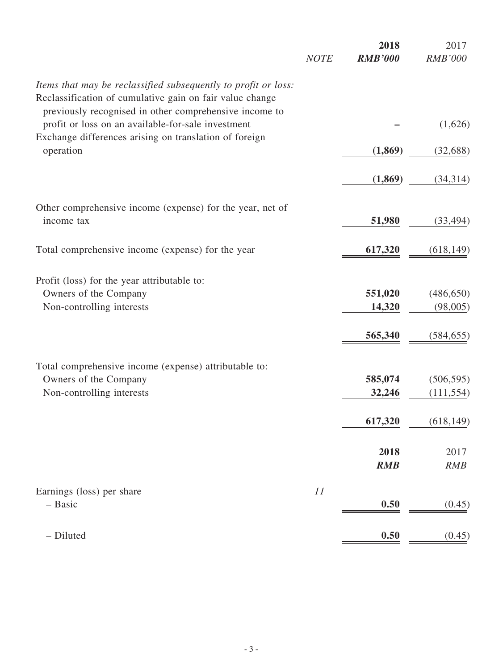|                                                                                                                            | <b>NOTE</b> | 2018<br><b>RMB'000</b> | 2017<br><b>RMB'000</b> |
|----------------------------------------------------------------------------------------------------------------------------|-------------|------------------------|------------------------|
| Items that may be reclassified subsequently to profit or loss:<br>Reclassification of cumulative gain on fair value change |             |                        |                        |
| previously recognised in other comprehensive income to<br>profit or loss on an available-for-sale investment               |             |                        | (1,626)                |
| Exchange differences arising on translation of foreign<br>operation                                                        |             | (1,869)                | (32, 688)              |
|                                                                                                                            |             | (1, 869)               | (34,314)               |
| Other comprehensive income (expense) for the year, net of                                                                  |             |                        |                        |
| income tax                                                                                                                 |             | 51,980                 | (33, 494)              |
| Total comprehensive income (expense) for the year                                                                          |             | 617,320                | (618, 149)             |
| Profit (loss) for the year attributable to:                                                                                |             |                        |                        |
| Owners of the Company                                                                                                      |             | 551,020                | (486, 650)             |
| Non-controlling interests                                                                                                  |             | 14,320                 | (98,005)               |
|                                                                                                                            |             | 565,340                | (584, 655)             |
| Total comprehensive income (expense) attributable to:                                                                      |             |                        |                        |
| Owners of the Company                                                                                                      |             | 585,074                | (506, 595)             |
| Non-controlling interests                                                                                                  |             | 32,246                 | (111, 554)             |
|                                                                                                                            |             | 617,320                | (618, 149)             |
|                                                                                                                            |             | 2018                   | 2017                   |
|                                                                                                                            |             | <b>RMB</b>             | <b>RMB</b>             |
| Earnings (loss) per share<br>- Basic                                                                                       | 11          | 0.50                   | (0.45)                 |
|                                                                                                                            |             |                        |                        |
| - Diluted                                                                                                                  |             | 0.50                   | (0.45)                 |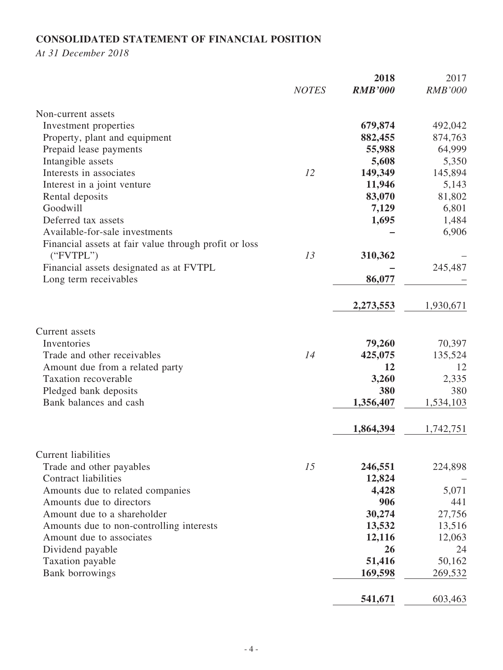# **CONSOLIDATED STATEMENT OF FINANCIAL POSITION**

*At 31 December 2018*

|                                                       | <b>NOTES</b> | 2018<br><b>RMB'000</b> | 2017<br><b>RMB'000</b> |
|-------------------------------------------------------|--------------|------------------------|------------------------|
| Non-current assets                                    |              |                        |                        |
| Investment properties                                 |              | 679,874                | 492,042                |
| Property, plant and equipment                         |              | 882,455                | 874,763                |
| Prepaid lease payments                                |              | 55,988                 | 64,999                 |
| Intangible assets                                     |              | 5,608                  | 5,350                  |
| Interests in associates                               | 12           | 149,349                | 145,894                |
| Interest in a joint venture                           |              | 11,946                 | 5,143                  |
| Rental deposits                                       |              | 83,070                 | 81,802                 |
| Goodwill                                              |              | 7,129                  | 6,801                  |
| Deferred tax assets                                   |              | 1,695                  | 1,484                  |
| Available-for-sale investments                        |              |                        | 6,906                  |
| Financial assets at fair value through profit or loss |              |                        |                        |
| ("FVTPL")                                             | 13           | 310,362                |                        |
| Financial assets designated as at FVTPL               |              |                        | 245,487                |
| Long term receivables                                 |              | 86,077                 |                        |
|                                                       |              | 2,273,553              | 1,930,671              |
| Current assets                                        |              |                        |                        |
| Inventories                                           |              | 79,260                 | 70,397                 |
| Trade and other receivables                           | 14           | 425,075                | 135,524                |
| Amount due from a related party                       |              | 12                     | 12                     |
| Taxation recoverable                                  |              | 3,260                  | 2,335                  |
| Pledged bank deposits                                 |              | 380                    | 380                    |
| Bank balances and cash                                |              | 1,356,407              | 1,534,103              |
|                                                       |              | 1,864,394              | 1,742,751              |
| <b>Current liabilities</b>                            |              |                        |                        |
| Trade and other payables                              | 15           | 246,551                | 224,898                |
| <b>Contract liabilities</b>                           |              | 12,824                 |                        |
| Amounts due to related companies                      |              | 4,428                  | 5,071                  |
| Amounts due to directors                              |              | 906                    | 441                    |
| Amount due to a shareholder                           |              | 30,274                 | 27,756                 |
| Amounts due to non-controlling interests              |              | 13,532                 | 13,516                 |
| Amount due to associates                              |              | 12,116                 | 12,063                 |
| Dividend payable                                      |              | 26                     | 24                     |
| Taxation payable                                      |              | 51,416                 | 50,162                 |
| <b>Bank borrowings</b>                                |              | 169,598                | 269,532                |
|                                                       |              | 541,671                | 603,463                |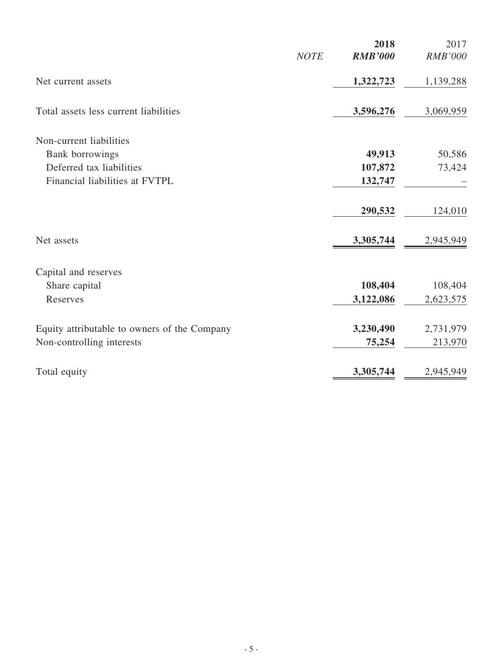| <b>NOTE</b>                                  | 2018<br><b>RMB'000</b> | 2017<br><b>RMB'000</b> |
|----------------------------------------------|------------------------|------------------------|
| Net current assets                           | 1,322,723              | 1,139,288              |
| Total assets less current liabilities        | 3,596,276              | 3,069,959              |
| Non-current liabilities                      |                        |                        |
| <b>Bank borrowings</b>                       | 49,913                 | 50,586                 |
| Deferred tax liabilities                     | 107,872                | 73,424                 |
| Financial liabilities at FVTPL               | 132,747                |                        |
|                                              | 290,532                | 124,010                |
| Net assets                                   | 3,305,744              | 2,945,949              |
| Capital and reserves                         |                        |                        |
| Share capital                                | 108,404                | 108,404                |
| Reserves                                     | 3,122,086              | 2,623,575              |
| Equity attributable to owners of the Company | 3,230,490              | 2,731,979              |
| Non-controlling interests                    | 75,254                 | 213,970                |
| Total equity                                 | 3,305,744              | 2,945,949              |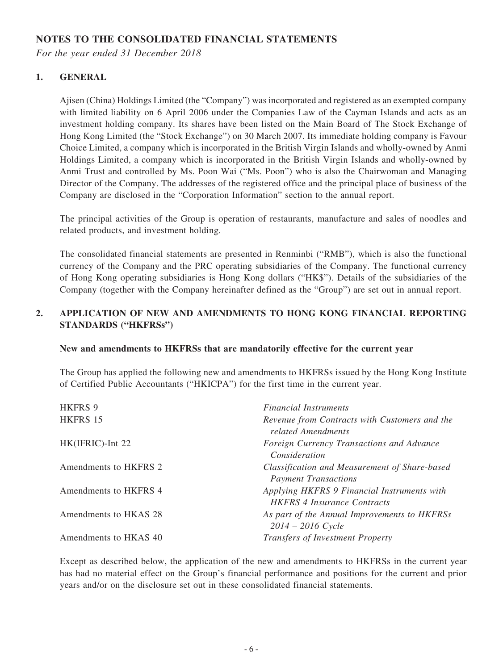# **NOTES TO THE CONSOLIDATED FINANCIAL STATEMENTS**

*For the year ended 31 December 2018*

### **1. GENERAL**

Ajisen (China) Holdings Limited (the "Company") was incorporated and registered as an exempted company with limited liability on 6 April 2006 under the Companies Law of the Cayman Islands and acts as an investment holding company. Its shares have been listed on the Main Board of The Stock Exchange of Hong Kong Limited (the "Stock Exchange") on 30 March 2007. Its immediate holding company is Favour Choice Limited, a company which is incorporated in the British Virgin Islands and wholly-owned by Anmi Holdings Limited, a company which is incorporated in the British Virgin Islands and wholly-owned by Anmi Trust and controlled by Ms. Poon Wai ("Ms. Poon") who is also the Chairwoman and Managing Director of the Company. The addresses of the registered office and the principal place of business of the Company are disclosed in the "Corporation Information" section to the annual report.

The principal activities of the Group is operation of restaurants, manufacture and sales of noodles and related products, and investment holding.

The consolidated financial statements are presented in Renminbi ("RMB"), which is also the functional currency of the Company and the PRC operating subsidiaries of the Company. The functional currency of Hong Kong operating subsidiaries is Hong Kong dollars ("HK\$"). Details of the subsidiaries of the Company (together with the Company hereinafter defined as the "Group") are set out in annual report.

## **2. APPLICATION OF NEW AND AMENDMENTS TO HONG KONG FINANCIAL REPORTING STANDARDS ("HKFRSs")**

#### **New and amendments to HKFRSs that are mandatorily effective for the current year**

The Group has applied the following new and amendments to HKFRSs issued by the Hong Kong Institute of Certified Public Accountants ("HKICPA") for the first time in the current year.

| <b>HKFRS 9</b>        | <b>Financial Instruments</b>                                                      |
|-----------------------|-----------------------------------------------------------------------------------|
| <b>HKFRS 15</b>       | Revenue from Contracts with Customers and the<br>related Amendments               |
| HK(IFRIC)-Int 22      | Foreign Currency Transactions and Advance<br>Consideration                        |
| Amendments to HKFRS 2 | Classification and Measurement of Share-based<br><b>Payment Transactions</b>      |
| Amendments to HKFRS 4 | Applying HKFRS 9 Financial Instruments with<br><b>HKFRS 4 Insurance Contracts</b> |
| Amendments to HKAS 28 | As part of the Annual Improvements to HKFRSs<br>$2014 - 2016$ Cycle               |
| Amendments to HKAS 40 | <b>Transfers of Investment Property</b>                                           |

Except as described below, the application of the new and amendments to HKFRSs in the current year has had no material effect on the Group's financial performance and positions for the current and prior years and/or on the disclosure set out in these consolidated financial statements.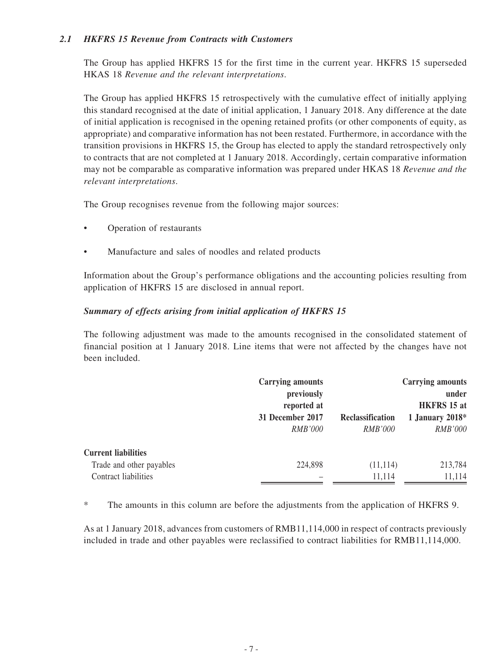### *2.1 HKFRS 15 Revenue from Contracts with Customers*

The Group has applied HKFRS 15 for the first time in the current year. HKFRS 15 superseded HKAS 18 *Revenue and the relevant interpretations*.

The Group has applied HKFRS 15 retrospectively with the cumulative effect of initially applying this standard recognised at the date of initial application, 1 January 2018. Any difference at the date of initial application is recognised in the opening retained profits (or other components of equity, as appropriate) and comparative information has not been restated. Furthermore, in accordance with the transition provisions in HKFRS 15, the Group has elected to apply the standard retrospectively only to contracts that are not completed at 1 January 2018. Accordingly, certain comparative information may not be comparable as comparative information was prepared under HKAS 18 *Revenue and the relevant interpretations*.

The Group recognises revenue from the following major sources:

- Operation of restaurants
- Manufacture and sales of noodles and related products

Information about the Group's performance obligations and the accounting policies resulting from application of HKFRS 15 are disclosed in annual report.

### *Summary of effects arising from initial application of HKFRS 15*

The following adjustment was made to the amounts recognised in the consolidated statement of financial position at 1 January 2018. Line items that were not affected by the changes have not been included.

|                            | <b>Carrying amounts</b><br>previously<br>reported at |                  | <b>Carrying amounts</b><br>under<br><b>HKFRS</b> 15 at |
|----------------------------|------------------------------------------------------|------------------|--------------------------------------------------------|
|                            | 31 December 2017                                     | Reclassification | 1 January 2018 $*$                                     |
|                            | <i>RMB'000</i>                                       | <i>RMB'000</i>   | <b>RMB'000</b>                                         |
| <b>Current liabilities</b> |                                                      |                  |                                                        |
| Trade and other payables   | 224,898                                              | (11, 114)        | 213,784                                                |
| Contract liabilities       |                                                      | 11,114           | 11,114                                                 |

\* The amounts in this column are before the adjustments from the application of HKFRS 9.

As at 1 January 2018, advances from customers of RMB11,114,000 in respect of contracts previously included in trade and other payables were reclassified to contract liabilities for RMB11,114,000.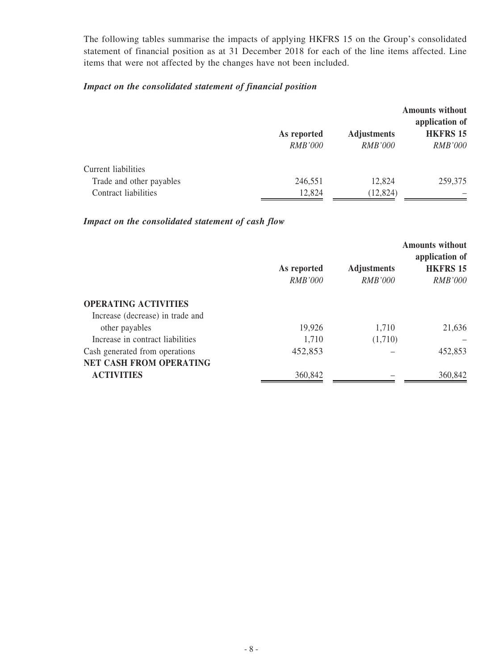The following tables summarise the impacts of applying HKFRS 15 on the Group's consolidated statement of financial position as at 31 December 2018 for each of the line items affected. Line items that were not affected by the changes have not been included.

# *Impact on the consolidated statement of financial position*

|                                                 | As reported<br><b>RMB'000</b> | <b>Adjustments</b><br><b>RMB'000</b> | <b>Amounts without</b><br>application of<br><b>HKFRS 15</b><br><b>RMB'000</b> |
|-------------------------------------------------|-------------------------------|--------------------------------------|-------------------------------------------------------------------------------|
| Current liabilities<br>Trade and other payables | 246,551                       | 12,824                               | 259,375                                                                       |
| Contract liabilities                            | 12,824                        | (12, 824)                            |                                                                               |

## *Impact on the consolidated statement of cash flow*

|                                  |                |                    | <b>Amounts without</b><br>application of |
|----------------------------------|----------------|--------------------|------------------------------------------|
|                                  | As reported    | <b>Adjustments</b> | <b>HKFRS 15</b>                          |
|                                  | <i>RMB'000</i> | <b>RMB'000</b>     | <i>RMB'000</i>                           |
| <b>OPERATING ACTIVITIES</b>      |                |                    |                                          |
| Increase (decrease) in trade and |                |                    |                                          |
| other payables                   | 19,926         | 1,710              | 21,636                                   |
| Increase in contract liabilities | 1,710          | (1,710)            |                                          |
| Cash generated from operations   | 452,853        |                    | 452,853                                  |
| <b>NET CASH FROM OPERATING</b>   |                |                    |                                          |
| <b>ACTIVITIES</b>                | 360,842        |                    | 360,842                                  |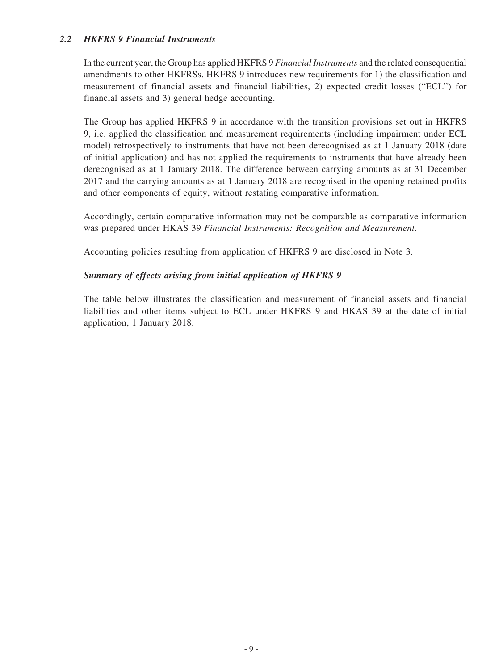### *2.2 HKFRS 9 Financial Instruments*

In the current year, the Group has applied HKFRS 9 *Financial Instruments* and the related consequential amendments to other HKFRSs. HKFRS 9 introduces new requirements for 1) the classification and measurement of financial assets and financial liabilities, 2) expected credit losses ("ECL") for financial assets and 3) general hedge accounting.

The Group has applied HKFRS 9 in accordance with the transition provisions set out in HKFRS 9, i.e. applied the classification and measurement requirements (including impairment under ECL model) retrospectively to instruments that have not been derecognised as at 1 January 2018 (date of initial application) and has not applied the requirements to instruments that have already been derecognised as at 1 January 2018. The difference between carrying amounts as at 31 December 2017 and the carrying amounts as at 1 January 2018 are recognised in the opening retained profits and other components of equity, without restating comparative information.

Accordingly, certain comparative information may not be comparable as comparative information was prepared under HKAS 39 *Financial Instruments: Recognition and Measurement*.

Accounting policies resulting from application of HKFRS 9 are disclosed in Note 3.

### *Summary of effects arising from initial application of HKFRS 9*

The table below illustrates the classification and measurement of financial assets and financial liabilities and other items subject to ECL under HKFRS 9 and HKAS 39 at the date of initial application, 1 January 2018.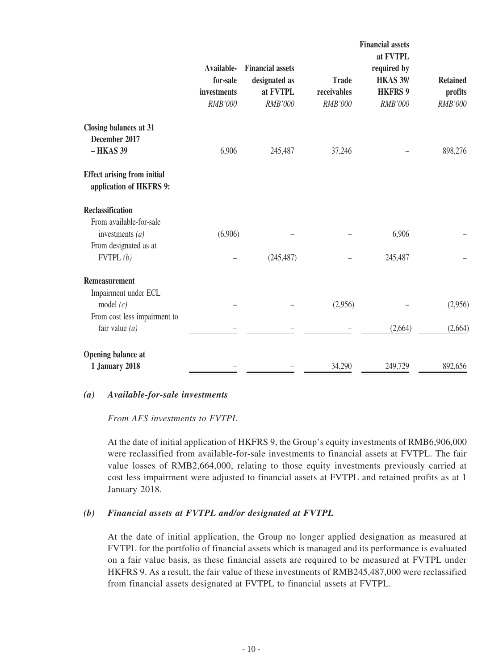|                                                               | Available-                         | <b>Financial assets</b>              |                                        | <b>Financial assets</b><br>at FVTPL<br>required by |                                       |
|---------------------------------------------------------------|------------------------------------|--------------------------------------|----------------------------------------|----------------------------------------------------|---------------------------------------|
|                                                               | for-sale<br>investments<br>RMB'000 | designated as<br>at FVTPL<br>RMB'000 | <b>Trade</b><br>receivables<br>RMB'000 | <b>HKAS 39/</b><br><b>HKFRS 9</b><br>RMB'000       | <b>Retained</b><br>profits<br>RMB'000 |
| <b>Closing balances at 31</b><br>December 2017<br>- HKAS 39   | 6,906                              | 245,487                              | 37,246                                 |                                                    | 898,276                               |
| <b>Effect arising from initial</b><br>application of HKFRS 9: |                                    |                                      |                                        |                                                    |                                       |
| <b>Reclassification</b>                                       |                                    |                                      |                                        |                                                    |                                       |
| From available-for-sale                                       |                                    |                                      |                                        | 6,906                                              |                                       |
| investments $(a)$<br>From designated as at                    | (6,906)                            |                                      |                                        |                                                    |                                       |
| FVTPL(b)                                                      |                                    | (245, 487)                           |                                        | 245,487                                            |                                       |
| <b>Remeasurement</b><br>Impairment under ECL                  |                                    |                                      |                                        |                                                    |                                       |
| model $(c)$                                                   |                                    |                                      | (2,956)                                |                                                    | (2,956)                               |
| From cost less impairment to                                  |                                    |                                      |                                        |                                                    |                                       |
| fair value $(a)$                                              |                                    |                                      |                                        | (2,664)                                            | (2,664)                               |
| <b>Opening balance at</b>                                     |                                    |                                      |                                        |                                                    |                                       |
| <b>1 January 2018</b>                                         |                                    |                                      | 34,290                                 | 249,729                                            | 892,656                               |

#### *(a) Available-for-sale investments*

*From AFS investments to FVTPL*

At the date of initial application of HKFRS 9, the Group's equity investments of RMB6,906,000 were reclassified from available-for-sale investments to financial assets at FVTPL. The fair value losses of RMB2,664,000, relating to those equity investments previously carried at cost less impairment were adjusted to financial assets at FVTPL and retained profits as at 1 January 2018.

#### *(b) Financial assets at FVTPL and/or designated at FVTPL*

At the date of initial application, the Group no longer applied designation as measured at FVTPL for the portfolio of financial assets which is managed and its performance is evaluated on a fair value basis, as these financial assets are required to be measured at FVTPL under HKFRS 9. As a result, the fair value of these investments of RMB245,487,000 were reclassified from financial assets designated at FVTPL to financial assets at FVTPL.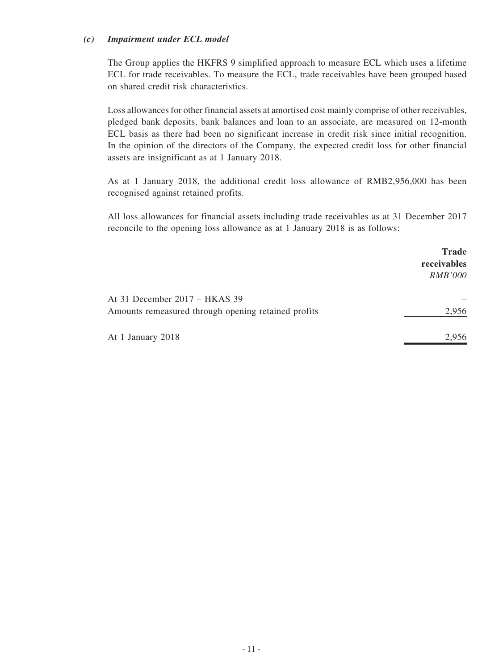#### *(c) Impairment under ECL model*

The Group applies the HKFRS 9 simplified approach to measure ECL which uses a lifetime ECL for trade receivables. To measure the ECL, trade receivables have been grouped based on shared credit risk characteristics.

Loss allowances for other financial assets at amortised cost mainly comprise of other receivables, pledged bank deposits, bank balances and loan to an associate, are measured on 12-month ECL basis as there had been no significant increase in credit risk since initial recognition. In the opinion of the directors of the Company, the expected credit loss for other financial assets are insignificant as at 1 January 2018.

As at 1 January 2018, the additional credit loss allowance of RMB2,956,000 has been recognised against retained profits.

All loss allowances for financial assets including trade receivables as at 31 December 2017 reconcile to the opening loss allowance as at 1 January 2018 is as follows:

|                                                                                      | <b>Trade</b><br>receivables<br><b>RMB'000</b> |
|--------------------------------------------------------------------------------------|-----------------------------------------------|
| At 31 December 2017 – HKAS 39<br>Amounts remeasured through opening retained profits | 2,956                                         |
| At 1 January 2018                                                                    | 2,956                                         |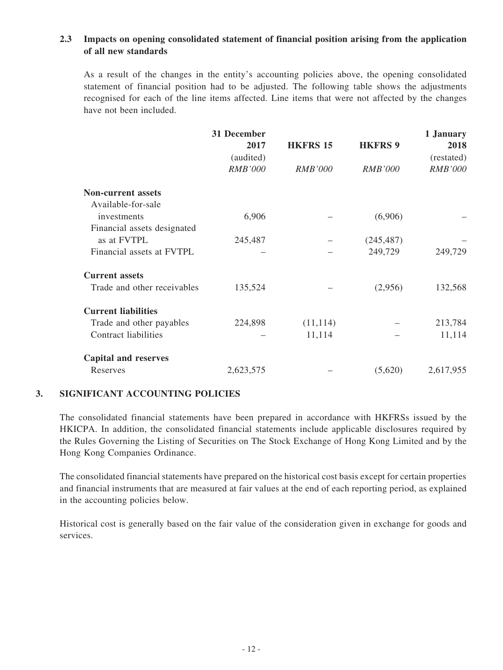### **2.3 Impacts on opening consolidated statement of financial position arising from the application of all new standards**

As a result of the changes in the entity's accounting policies above, the opening consolidated statement of financial position had to be adjusted. The following table shows the adjustments recognised for each of the line items affected. Line items that were not affected by the changes have not been included.

|                             | 31 December<br>2017<br>(audited) | <b>HKFRS 15</b> | <b>HKFRS 9</b> | 1 January<br>2018<br>(restated) |
|-----------------------------|----------------------------------|-----------------|----------------|---------------------------------|
|                             | <b>RMB'000</b>                   | <i>RMB'000</i>  | <i>RMB'000</i> | <b>RMB'000</b>                  |
| <b>Non-current assets</b>   |                                  |                 |                |                                 |
| Available-for-sale          |                                  |                 |                |                                 |
| investments                 | 6,906                            |                 | (6,906)        |                                 |
| Financial assets designated |                                  |                 |                |                                 |
| as at FVTPL                 | 245,487                          |                 | (245, 487)     |                                 |
| Financial assets at FVTPL   |                                  |                 | 249,729        | 249,729                         |
| <b>Current assets</b>       |                                  |                 |                |                                 |
| Trade and other receivables | 135,524                          |                 | (2,956)        | 132,568                         |
| <b>Current liabilities</b>  |                                  |                 |                |                                 |
| Trade and other payables    | 224,898                          | (11, 114)       |                | 213,784                         |
| <b>Contract liabilities</b> |                                  | 11,114          |                | 11,114                          |
| <b>Capital and reserves</b> |                                  |                 |                |                                 |
| Reserves                    | 2,623,575                        |                 | (5,620)        | 2,617,955                       |

### **3. SIGNIFICANT ACCOUNTING POLICIES**

The consolidated financial statements have been prepared in accordance with HKFRSs issued by the HKICPA. In addition, the consolidated financial statements include applicable disclosures required by the Rules Governing the Listing of Securities on The Stock Exchange of Hong Kong Limited and by the Hong Kong Companies Ordinance.

The consolidated financial statements have prepared on the historical cost basis except for certain properties and financial instruments that are measured at fair values at the end of each reporting period, as explained in the accounting policies below.

Historical cost is generally based on the fair value of the consideration given in exchange for goods and services.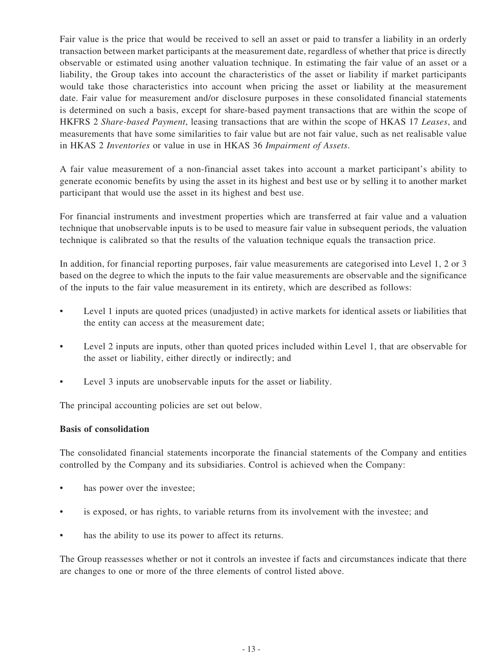Fair value is the price that would be received to sell an asset or paid to transfer a liability in an orderly transaction between market participants at the measurement date, regardless of whether that price is directly observable or estimated using another valuation technique. In estimating the fair value of an asset or a liability, the Group takes into account the characteristics of the asset or liability if market participants would take those characteristics into account when pricing the asset or liability at the measurement date. Fair value for measurement and/or disclosure purposes in these consolidated financial statements is determined on such a basis, except for share-based payment transactions that are within the scope of HKFRS 2 *Share-based Payment*, leasing transactions that are within the scope of HKAS 17 *Leases*, and measurements that have some similarities to fair value but are not fair value, such as net realisable value in HKAS 2 *Inventories* or value in use in HKAS 36 *Impairment of Assets*.

A fair value measurement of a non-financial asset takes into account a market participant's ability to generate economic benefits by using the asset in its highest and best use or by selling it to another market participant that would use the asset in its highest and best use.

For financial instruments and investment properties which are transferred at fair value and a valuation technique that unobservable inputs is to be used to measure fair value in subsequent periods, the valuation technique is calibrated so that the results of the valuation technique equals the transaction price.

In addition, for financial reporting purposes, fair value measurements are categorised into Level 1, 2 or 3 based on the degree to which the inputs to the fair value measurements are observable and the significance of the inputs to the fair value measurement in its entirety, which are described as follows:

- Level 1 inputs are quoted prices (unadjusted) in active markets for identical assets or liabilities that the entity can access at the measurement date;
- Level 2 inputs are inputs, other than quoted prices included within Level 1, that are observable for the asset or liability, either directly or indirectly; and
- Level 3 inputs are unobservable inputs for the asset or liability.

The principal accounting policies are set out below.

#### **Basis of consolidation**

The consolidated financial statements incorporate the financial statements of the Company and entities controlled by the Company and its subsidiaries. Control is achieved when the Company:

- has power over the investee;
- is exposed, or has rights, to variable returns from its involvement with the investee; and
- has the ability to use its power to affect its returns.

The Group reassesses whether or not it controls an investee if facts and circumstances indicate that there are changes to one or more of the three elements of control listed above.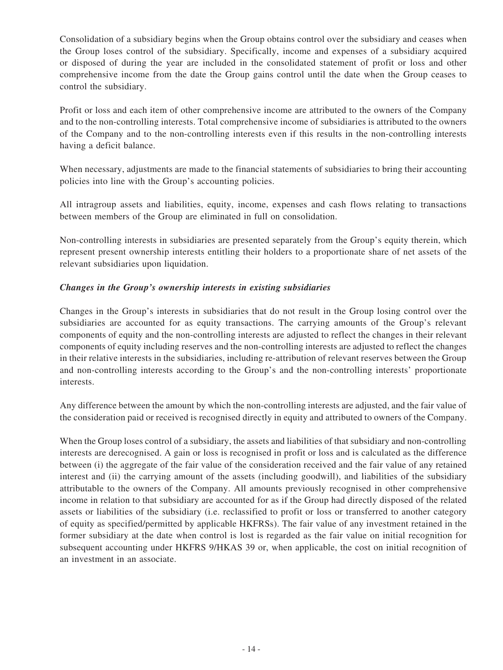Consolidation of a subsidiary begins when the Group obtains control over the subsidiary and ceases when the Group loses control of the subsidiary. Specifically, income and expenses of a subsidiary acquired or disposed of during the year are included in the consolidated statement of profit or loss and other comprehensive income from the date the Group gains control until the date when the Group ceases to control the subsidiary.

Profit or loss and each item of other comprehensive income are attributed to the owners of the Company and to the non-controlling interests. Total comprehensive income of subsidiaries is attributed to the owners of the Company and to the non-controlling interests even if this results in the non-controlling interests having a deficit balance.

When necessary, adjustments are made to the financial statements of subsidiaries to bring their accounting policies into line with the Group's accounting policies.

All intragroup assets and liabilities, equity, income, expenses and cash flows relating to transactions between members of the Group are eliminated in full on consolidation.

Non-controlling interests in subsidiaries are presented separately from the Group's equity therein, which represent present ownership interests entitling their holders to a proportionate share of net assets of the relevant subsidiaries upon liquidation.

### *Changes in the Group's ownership interests in existing subsidiaries*

Changes in the Group's interests in subsidiaries that do not result in the Group losing control over the subsidiaries are accounted for as equity transactions. The carrying amounts of the Group's relevant components of equity and the non-controlling interests are adjusted to reflect the changes in their relevant components of equity including reserves and the non-controlling interests are adjusted to reflect the changes in their relative interests in the subsidiaries, including re-attribution of relevant reserves between the Group and non-controlling interests according to the Group's and the non-controlling interests' proportionate interests.

Any difference between the amount by which the non-controlling interests are adjusted, and the fair value of the consideration paid or received is recognised directly in equity and attributed to owners of the Company.

When the Group loses control of a subsidiary, the assets and liabilities of that subsidiary and non-controlling interests are derecognised. A gain or loss is recognised in profit or loss and is calculated as the difference between (i) the aggregate of the fair value of the consideration received and the fair value of any retained interest and (ii) the carrying amount of the assets (including goodwill), and liabilities of the subsidiary attributable to the owners of the Company. All amounts previously recognised in other comprehensive income in relation to that subsidiary are accounted for as if the Group had directly disposed of the related assets or liabilities of the subsidiary (i.e. reclassified to profit or loss or transferred to another category of equity as specified/permitted by applicable HKFRSs). The fair value of any investment retained in the former subsidiary at the date when control is lost is regarded as the fair value on initial recognition for subsequent accounting under HKFRS 9/HKAS 39 or, when applicable, the cost on initial recognition of an investment in an associate.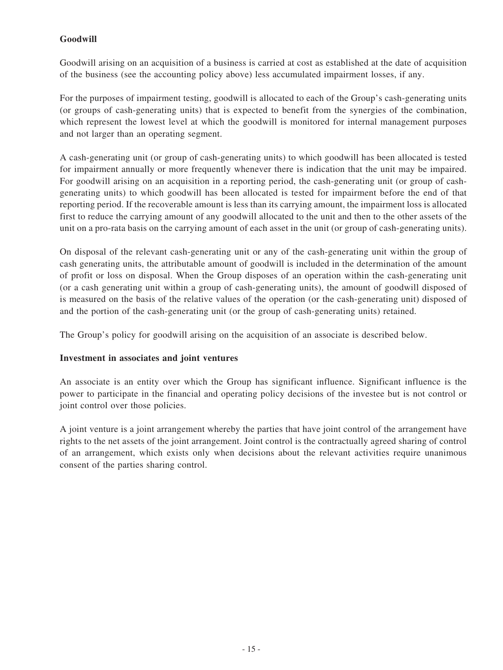## **Goodwill**

Goodwill arising on an acquisition of a business is carried at cost as established at the date of acquisition of the business (see the accounting policy above) less accumulated impairment losses, if any.

For the purposes of impairment testing, goodwill is allocated to each of the Group's cash-generating units (or groups of cash-generating units) that is expected to benefit from the synergies of the combination, which represent the lowest level at which the goodwill is monitored for internal management purposes and not larger than an operating segment.

A cash-generating unit (or group of cash-generating units) to which goodwill has been allocated is tested for impairment annually or more frequently whenever there is indication that the unit may be impaired. For goodwill arising on an acquisition in a reporting period, the cash-generating unit (or group of cashgenerating units) to which goodwill has been allocated is tested for impairment before the end of that reporting period. If the recoverable amount is less than its carrying amount, the impairment loss is allocated first to reduce the carrying amount of any goodwill allocated to the unit and then to the other assets of the unit on a pro-rata basis on the carrying amount of each asset in the unit (or group of cash-generating units).

On disposal of the relevant cash-generating unit or any of the cash-generating unit within the group of cash generating units, the attributable amount of goodwill is included in the determination of the amount of profit or loss on disposal. When the Group disposes of an operation within the cash-generating unit (or a cash generating unit within a group of cash-generating units), the amount of goodwill disposed of is measured on the basis of the relative values of the operation (or the cash-generating unit) disposed of and the portion of the cash-generating unit (or the group of cash-generating units) retained.

The Group's policy for goodwill arising on the acquisition of an associate is described below.

#### **Investment in associates and joint ventures**

An associate is an entity over which the Group has significant influence. Significant influence is the power to participate in the financial and operating policy decisions of the investee but is not control or joint control over those policies.

A joint venture is a joint arrangement whereby the parties that have joint control of the arrangement have rights to the net assets of the joint arrangement. Joint control is the contractually agreed sharing of control of an arrangement, which exists only when decisions about the relevant activities require unanimous consent of the parties sharing control.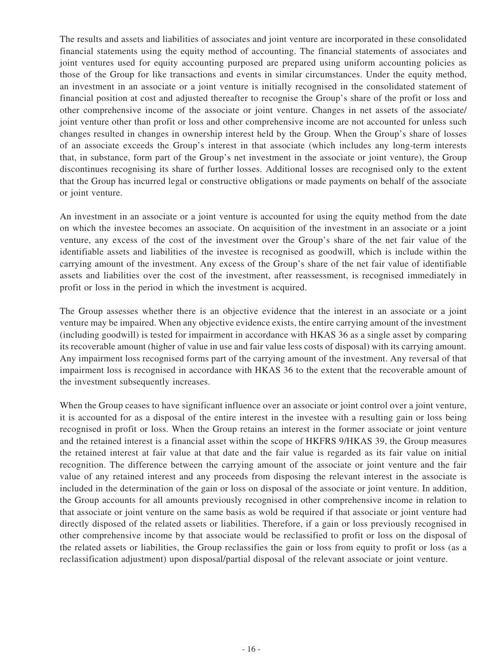The results and assets and liabilities of associates and joint venture are incorporated in these consolidated financial statements using the equity method of accounting. The financial statements of associates and joint ventures used for equity accounting purposed are prepared using uniform accounting policies as those of the Group for like transactions and events in similar circumstances. Under the equity method, an investment in an associate or a joint venture is initially recognised in the consolidated statement of financial position at cost and adjusted thereafter to recognise the Group's share of the profit or loss and other comprehensive income of the associate or joint venture. Changes in net assets of the associate/ joint venture other than profit or loss and other comprehensive income are not accounted for unless such changes resulted in changes in ownership interest held by the Group. When the Group's share of losses of an associate exceeds the Group's interest in that associate (which includes any long-term interests that, in substance, form part of the Group's net investment in the associate or joint venture), the Group discontinues recognising its share of further losses. Additional losses are recognised only to the extent that the Group has incurred legal or constructive obligations or made payments on behalf of the associate or joint venture.

An investment in an associate or a joint venture is accounted for using the equity method from the date on which the investee becomes an associate. On acquisition of the investment in an associate or a joint venture, any excess of the cost of the investment over the Group's share of the net fair value of the identifiable assets and liabilities of the investee is recognised as goodwill, which is include within the carrying amount of the investment. Any excess of the Group's share of the net fair value of identifiable assets and liabilities over the cost of the investment, after reassessment, is recognised immediately in profit or loss in the period in which the investment is acquired.

The Group assesses whether there is an objective evidence that the interest in an associate or a joint venture may be impaired. When any objective evidence exists, the entire carrying amount of the investment (including goodwill) is tested for impairment in accordance with HKAS 36 as a single asset by comparing its recoverable amount (higher of value in use and fair value less costs of disposal) with its carrying amount. Any impairment loss recognised forms part of the carrying amount of the investment. Any reversal of that impairment loss is recognised in accordance with HKAS 36 to the extent that the recoverable amount of the investment subsequently increases.

When the Group ceases to have significant influence over an associate or joint control over a joint venture, it is accounted for as a disposal of the entire interest in the investee with a resulting gain or loss being recognised in profit or loss. When the Group retains an interest in the former associate or joint venture and the retained interest is a financial asset within the scope of HKFRS 9/HKAS 39, the Group measures the retained interest at fair value at that date and the fair value is regarded as its fair value on initial recognition. The difference between the carrying amount of the associate or joint venture and the fair value of any retained interest and any proceeds from disposing the relevant interest in the associate is included in the determination of the gain or loss on disposal of the associate or joint venture. In addition, the Group accounts for all amounts previously recognised in other comprehensive income in relation to that associate or joint venture on the same basis as wold be required if that associate or joint venture had directly disposed of the related assets or liabilities. Therefore, if a gain or loss previously recognised in other comprehensive income by that associate would be reclassified to profit or loss on the disposal of the related assets or liabilities, the Group reclassifies the gain or loss from equity to profit or loss (as a reclassification adjustment) upon disposal/partial disposal of the relevant associate or joint venture.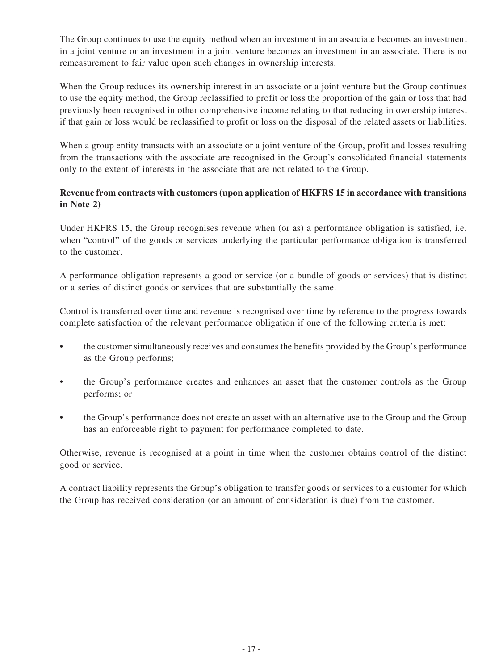The Group continues to use the equity method when an investment in an associate becomes an investment in a joint venture or an investment in a joint venture becomes an investment in an associate. There is no remeasurement to fair value upon such changes in ownership interests.

When the Group reduces its ownership interest in an associate or a joint venture but the Group continues to use the equity method, the Group reclassified to profit or loss the proportion of the gain or loss that had previously been recognised in other comprehensive income relating to that reducing in ownership interest if that gain or loss would be reclassified to profit or loss on the disposal of the related assets or liabilities.

When a group entity transacts with an associate or a joint venture of the Group, profit and losses resulting from the transactions with the associate are recognised in the Group's consolidated financial statements only to the extent of interests in the associate that are not related to the Group.

### **Revenue from contracts with customers (upon application of HKFRS 15 in accordance with transitions in Note 2)**

Under HKFRS 15, the Group recognises revenue when (or as) a performance obligation is satisfied, i.e. when "control" of the goods or services underlying the particular performance obligation is transferred to the customer.

A performance obligation represents a good or service (or a bundle of goods or services) that is distinct or a series of distinct goods or services that are substantially the same.

Control is transferred over time and revenue is recognised over time by reference to the progress towards complete satisfaction of the relevant performance obligation if one of the following criteria is met:

- the customer simultaneously receives and consumes the benefits provided by the Group's performance as the Group performs;
- the Group's performance creates and enhances an asset that the customer controls as the Group performs; or
- the Group's performance does not create an asset with an alternative use to the Group and the Group has an enforceable right to payment for performance completed to date.

Otherwise, revenue is recognised at a point in time when the customer obtains control of the distinct good or service.

A contract liability represents the Group's obligation to transfer goods or services to a customer for which the Group has received consideration (or an amount of consideration is due) from the customer.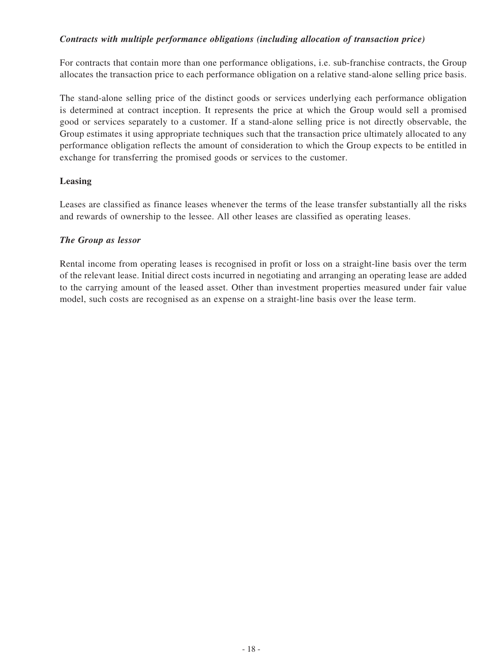### *Contracts with multiple performance obligations (including allocation of transaction price)*

For contracts that contain more than one performance obligations, i.e. sub-franchise contracts, the Group allocates the transaction price to each performance obligation on a relative stand-alone selling price basis.

The stand-alone selling price of the distinct goods or services underlying each performance obligation is determined at contract inception. It represents the price at which the Group would sell a promised good or services separately to a customer. If a stand-alone selling price is not directly observable, the Group estimates it using appropriate techniques such that the transaction price ultimately allocated to any performance obligation reflects the amount of consideration to which the Group expects to be entitled in exchange for transferring the promised goods or services to the customer.

### **Leasing**

Leases are classified as finance leases whenever the terms of the lease transfer substantially all the risks and rewards of ownership to the lessee. All other leases are classified as operating leases.

### *The Group as lessor*

Rental income from operating leases is recognised in profit or loss on a straight-line basis over the term of the relevant lease. Initial direct costs incurred in negotiating and arranging an operating lease are added to the carrying amount of the leased asset. Other than investment properties measured under fair value model, such costs are recognised as an expense on a straight-line basis over the lease term.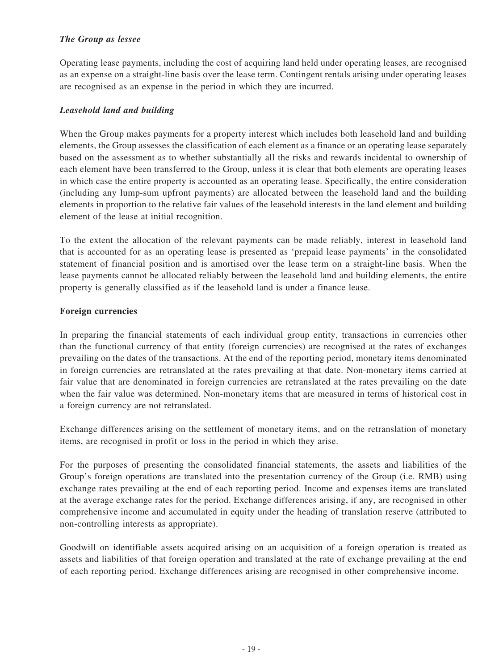### *The Group as lessee*

Operating lease payments, including the cost of acquiring land held under operating leases, are recognised as an expense on a straight-line basis over the lease term. Contingent rentals arising under operating leases are recognised as an expense in the period in which they are incurred.

### *Leasehold land and building*

When the Group makes payments for a property interest which includes both leasehold land and building elements, the Group assesses the classification of each element as a finance or an operating lease separately based on the assessment as to whether substantially all the risks and rewards incidental to ownership of each element have been transferred to the Group, unless it is clear that both elements are operating leases in which case the entire property is accounted as an operating lease. Specifically, the entire consideration (including any lump-sum upfront payments) are allocated between the leasehold land and the building elements in proportion to the relative fair values of the leasehold interests in the land element and building element of the lease at initial recognition.

To the extent the allocation of the relevant payments can be made reliably, interest in leasehold land that is accounted for as an operating lease is presented as 'prepaid lease payments' in the consolidated statement of financial position and is amortised over the lease term on a straight-line basis. When the lease payments cannot be allocated reliably between the leasehold land and building elements, the entire property is generally classified as if the leasehold land is under a finance lease.

### **Foreign currencies**

In preparing the financial statements of each individual group entity, transactions in currencies other than the functional currency of that entity (foreign currencies) are recognised at the rates of exchanges prevailing on the dates of the transactions. At the end of the reporting period, monetary items denominated in foreign currencies are retranslated at the rates prevailing at that date. Non-monetary items carried at fair value that are denominated in foreign currencies are retranslated at the rates prevailing on the date when the fair value was determined. Non-monetary items that are measured in terms of historical cost in a foreign currency are not retranslated.

Exchange differences arising on the settlement of monetary items, and on the retranslation of monetary items, are recognised in profit or loss in the period in which they arise.

For the purposes of presenting the consolidated financial statements, the assets and liabilities of the Group's foreign operations are translated into the presentation currency of the Group (i.e. RMB) using exchange rates prevailing at the end of each reporting period. Income and expenses items are translated at the average exchange rates for the period. Exchange differences arising, if any, are recognised in other comprehensive income and accumulated in equity under the heading of translation reserve (attributed to non-controlling interests as appropriate).

Goodwill on identifiable assets acquired arising on an acquisition of a foreign operation is treated as assets and liabilities of that foreign operation and translated at the rate of exchange prevailing at the end of each reporting period. Exchange differences arising are recognised in other comprehensive income.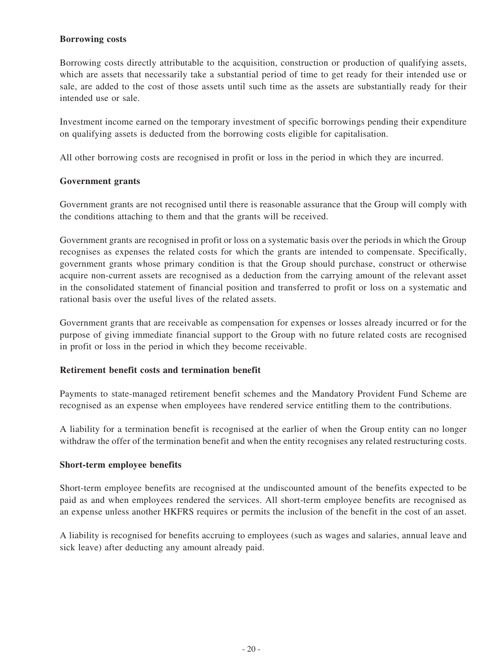### **Borrowing costs**

Borrowing costs directly attributable to the acquisition, construction or production of qualifying assets, which are assets that necessarily take a substantial period of time to get ready for their intended use or sale, are added to the cost of those assets until such time as the assets are substantially ready for their intended use or sale.

Investment income earned on the temporary investment of specific borrowings pending their expenditure on qualifying assets is deducted from the borrowing costs eligible for capitalisation.

All other borrowing costs are recognised in profit or loss in the period in which they are incurred.

### **Government grants**

Government grants are not recognised until there is reasonable assurance that the Group will comply with the conditions attaching to them and that the grants will be received.

Government grants are recognised in profit or loss on a systematic basis over the periods in which the Group recognises as expenses the related costs for which the grants are intended to compensate. Specifically, government grants whose primary condition is that the Group should purchase, construct or otherwise acquire non-current assets are recognised as a deduction from the carrying amount of the relevant asset in the consolidated statement of financial position and transferred to profit or loss on a systematic and rational basis over the useful lives of the related assets.

Government grants that are receivable as compensation for expenses or losses already incurred or for the purpose of giving immediate financial support to the Group with no future related costs are recognised in profit or loss in the period in which they become receivable.

#### **Retirement benefit costs and termination benefit**

Payments to state-managed retirement benefit schemes and the Mandatory Provident Fund Scheme are recognised as an expense when employees have rendered service entitling them to the contributions.

A liability for a termination benefit is recognised at the earlier of when the Group entity can no longer withdraw the offer of the termination benefit and when the entity recognises any related restructuring costs.

#### **Short-term employee benefits**

Short-term employee benefits are recognised at the undiscounted amount of the benefits expected to be paid as and when employees rendered the services. All short-term employee benefits are recognised as an expense unless another HKFRS requires or permits the inclusion of the benefit in the cost of an asset.

A liability is recognised for benefits accruing to employees (such as wages and salaries, annual leave and sick leave) after deducting any amount already paid.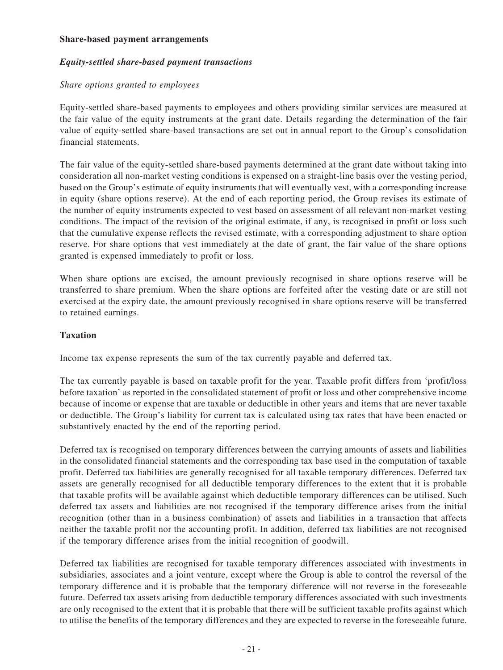#### **Share-based payment arrangements**

#### *Equity-settled share-based payment transactions*

#### *Share options granted to employees*

Equity-settled share-based payments to employees and others providing similar services are measured at the fair value of the equity instruments at the grant date. Details regarding the determination of the fair value of equity-settled share-based transactions are set out in annual report to the Group's consolidation financial statements.

The fair value of the equity-settled share-based payments determined at the grant date without taking into consideration all non-market vesting conditions is expensed on a straight-line basis over the vesting period, based on the Group's estimate of equity instruments that will eventually vest, with a corresponding increase in equity (share options reserve). At the end of each reporting period, the Group revises its estimate of the number of equity instruments expected to vest based on assessment of all relevant non-market vesting conditions. The impact of the revision of the original estimate, if any, is recognised in profit or loss such that the cumulative expense reflects the revised estimate, with a corresponding adjustment to share option reserve. For share options that vest immediately at the date of grant, the fair value of the share options granted is expensed immediately to profit or loss.

When share options are excised, the amount previously recognised in share options reserve will be transferred to share premium. When the share options are forfeited after the vesting date or are still not exercised at the expiry date, the amount previously recognised in share options reserve will be transferred to retained earnings.

#### **Taxation**

Income tax expense represents the sum of the tax currently payable and deferred tax.

The tax currently payable is based on taxable profit for the year. Taxable profit differs from 'profit/loss before taxation' as reported in the consolidated statement of profit or loss and other comprehensive income because of income or expense that are taxable or deductible in other years and items that are never taxable or deductible. The Group's liability for current tax is calculated using tax rates that have been enacted or substantively enacted by the end of the reporting period.

Deferred tax is recognised on temporary differences between the carrying amounts of assets and liabilities in the consolidated financial statements and the corresponding tax base used in the computation of taxable profit. Deferred tax liabilities are generally recognised for all taxable temporary differences. Deferred tax assets are generally recognised for all deductible temporary differences to the extent that it is probable that taxable profits will be available against which deductible temporary differences can be utilised. Such deferred tax assets and liabilities are not recognised if the temporary difference arises from the initial recognition (other than in a business combination) of assets and liabilities in a transaction that affects neither the taxable profit nor the accounting profit. In addition, deferred tax liabilities are not recognised if the temporary difference arises from the initial recognition of goodwill.

Deferred tax liabilities are recognised for taxable temporary differences associated with investments in subsidiaries, associates and a joint venture, except where the Group is able to control the reversal of the temporary difference and it is probable that the temporary difference will not reverse in the foreseeable future. Deferred tax assets arising from deductible temporary differences associated with such investments are only recognised to the extent that it is probable that there will be sufficient taxable profits against which to utilise the benefits of the temporary differences and they are expected to reverse in the foreseeable future.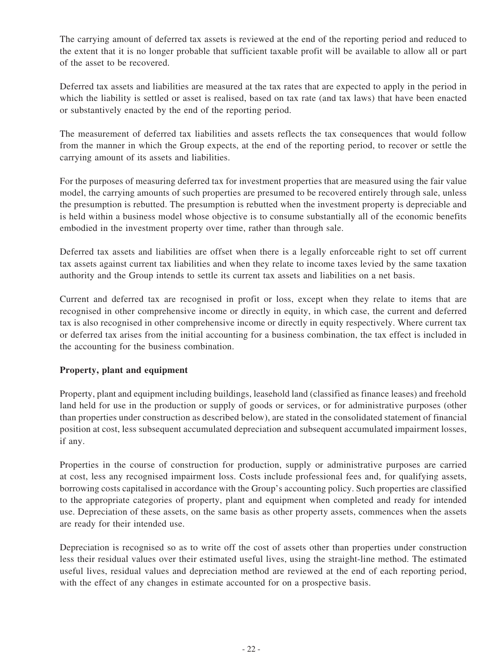The carrying amount of deferred tax assets is reviewed at the end of the reporting period and reduced to the extent that it is no longer probable that sufficient taxable profit will be available to allow all or part of the asset to be recovered.

Deferred tax assets and liabilities are measured at the tax rates that are expected to apply in the period in which the liability is settled or asset is realised, based on tax rate (and tax laws) that have been enacted or substantively enacted by the end of the reporting period.

The measurement of deferred tax liabilities and assets reflects the tax consequences that would follow from the manner in which the Group expects, at the end of the reporting period, to recover or settle the carrying amount of its assets and liabilities.

For the purposes of measuring deferred tax for investment properties that are measured using the fair value model, the carrying amounts of such properties are presumed to be recovered entirely through sale, unless the presumption is rebutted. The presumption is rebutted when the investment property is depreciable and is held within a business model whose objective is to consume substantially all of the economic benefits embodied in the investment property over time, rather than through sale.

Deferred tax assets and liabilities are offset when there is a legally enforceable right to set off current tax assets against current tax liabilities and when they relate to income taxes levied by the same taxation authority and the Group intends to settle its current tax assets and liabilities on a net basis.

Current and deferred tax are recognised in profit or loss, except when they relate to items that are recognised in other comprehensive income or directly in equity, in which case, the current and deferred tax is also recognised in other comprehensive income or directly in equity respectively. Where current tax or deferred tax arises from the initial accounting for a business combination, the tax effect is included in the accounting for the business combination.

### **Property, plant and equipment**

Property, plant and equipment including buildings, leasehold land (classified as finance leases) and freehold land held for use in the production or supply of goods or services, or for administrative purposes (other than properties under construction as described below), are stated in the consolidated statement of financial position at cost, less subsequent accumulated depreciation and subsequent accumulated impairment losses, if any.

Properties in the course of construction for production, supply or administrative purposes are carried at cost, less any recognised impairment loss. Costs include professional fees and, for qualifying assets, borrowing costs capitalised in accordance with the Group's accounting policy. Such properties are classified to the appropriate categories of property, plant and equipment when completed and ready for intended use. Depreciation of these assets, on the same basis as other property assets, commences when the assets are ready for their intended use.

Depreciation is recognised so as to write off the cost of assets other than properties under construction less their residual values over their estimated useful lives, using the straight-line method. The estimated useful lives, residual values and depreciation method are reviewed at the end of each reporting period, with the effect of any changes in estimate accounted for on a prospective basis.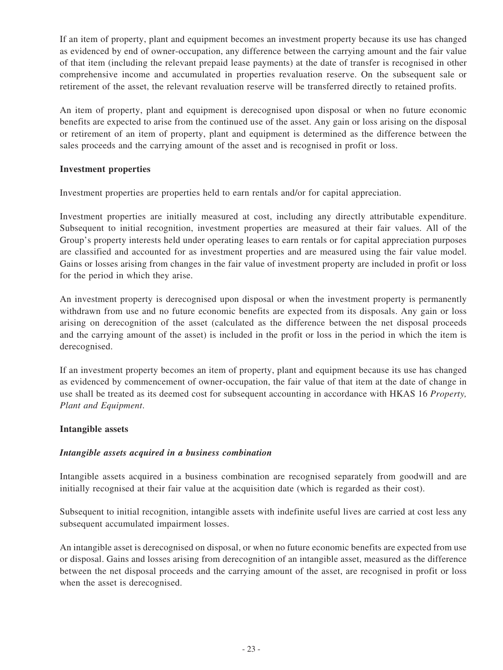If an item of property, plant and equipment becomes an investment property because its use has changed as evidenced by end of owner-occupation, any difference between the carrying amount and the fair value of that item (including the relevant prepaid lease payments) at the date of transfer is recognised in other comprehensive income and accumulated in properties revaluation reserve. On the subsequent sale or retirement of the asset, the relevant revaluation reserve will be transferred directly to retained profits.

An item of property, plant and equipment is derecognised upon disposal or when no future economic benefits are expected to arise from the continued use of the asset. Any gain or loss arising on the disposal or retirement of an item of property, plant and equipment is determined as the difference between the sales proceeds and the carrying amount of the asset and is recognised in profit or loss.

### **Investment properties**

Investment properties are properties held to earn rentals and/or for capital appreciation.

Investment properties are initially measured at cost, including any directly attributable expenditure. Subsequent to initial recognition, investment properties are measured at their fair values. All of the Group's property interests held under operating leases to earn rentals or for capital appreciation purposes are classified and accounted for as investment properties and are measured using the fair value model. Gains or losses arising from changes in the fair value of investment property are included in profit or loss for the period in which they arise.

An investment property is derecognised upon disposal or when the investment property is permanently withdrawn from use and no future economic benefits are expected from its disposals. Any gain or loss arising on derecognition of the asset (calculated as the difference between the net disposal proceeds and the carrying amount of the asset) is included in the profit or loss in the period in which the item is derecognised.

If an investment property becomes an item of property, plant and equipment because its use has changed as evidenced by commencement of owner-occupation, the fair value of that item at the date of change in use shall be treated as its deemed cost for subsequent accounting in accordance with HKAS 16 *Property, Plant and Equipment*.

#### **Intangible assets**

#### *Intangible assets acquired in a business combination*

Intangible assets acquired in a business combination are recognised separately from goodwill and are initially recognised at their fair value at the acquisition date (which is regarded as their cost).

Subsequent to initial recognition, intangible assets with indefinite useful lives are carried at cost less any subsequent accumulated impairment losses.

An intangible asset is derecognised on disposal, or when no future economic benefits are expected from use or disposal. Gains and losses arising from derecognition of an intangible asset, measured as the difference between the net disposal proceeds and the carrying amount of the asset, are recognised in profit or loss when the asset is derecognised.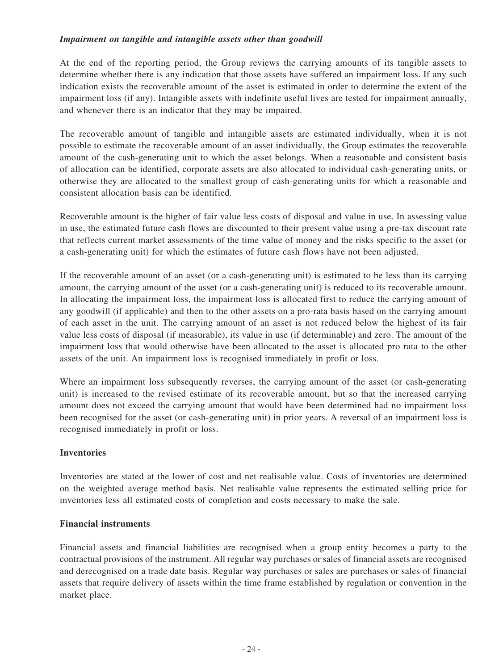### *Impairment on tangible and intangible assets other than goodwill*

At the end of the reporting period, the Group reviews the carrying amounts of its tangible assets to determine whether there is any indication that those assets have suffered an impairment loss. If any such indication exists the recoverable amount of the asset is estimated in order to determine the extent of the impairment loss (if any). Intangible assets with indefinite useful lives are tested for impairment annually, and whenever there is an indicator that they may be impaired.

The recoverable amount of tangible and intangible assets are estimated individually, when it is not possible to estimate the recoverable amount of an asset individually, the Group estimates the recoverable amount of the cash-generating unit to which the asset belongs. When a reasonable and consistent basis of allocation can be identified, corporate assets are also allocated to individual cash-generating units, or otherwise they are allocated to the smallest group of cash-generating units for which a reasonable and consistent allocation basis can be identified.

Recoverable amount is the higher of fair value less costs of disposal and value in use. In assessing value in use, the estimated future cash flows are discounted to their present value using a pre-tax discount rate that reflects current market assessments of the time value of money and the risks specific to the asset (or a cash-generating unit) for which the estimates of future cash flows have not been adjusted.

If the recoverable amount of an asset (or a cash-generating unit) is estimated to be less than its carrying amount, the carrying amount of the asset (or a cash-generating unit) is reduced to its recoverable amount. In allocating the impairment loss, the impairment loss is allocated first to reduce the carrying amount of any goodwill (if applicable) and then to the other assets on a pro-rata basis based on the carrying amount of each asset in the unit. The carrying amount of an asset is not reduced below the highest of its fair value less costs of disposal (if measurable), its value in use (if determinable) and zero. The amount of the impairment loss that would otherwise have been allocated to the asset is allocated pro rata to the other assets of the unit. An impairment loss is recognised immediately in profit or loss.

Where an impairment loss subsequently reverses, the carrying amount of the asset (or cash-generating unit) is increased to the revised estimate of its recoverable amount, but so that the increased carrying amount does not exceed the carrying amount that would have been determined had no impairment loss been recognised for the asset (or cash-generating unit) in prior years. A reversal of an impairment loss is recognised immediately in profit or loss.

#### **Inventories**

Inventories are stated at the lower of cost and net realisable value. Costs of inventories are determined on the weighted average method basis. Net realisable value represents the estimated selling price for inventories less all estimated costs of completion and costs necessary to make the sale.

#### **Financial instruments**

Financial assets and financial liabilities are recognised when a group entity becomes a party to the contractual provisions of the instrument. All regular way purchases or sales of financial assets are recognised and derecognised on a trade date basis. Regular way purchases or sales are purchases or sales of financial assets that require delivery of assets within the time frame established by regulation or convention in the market place.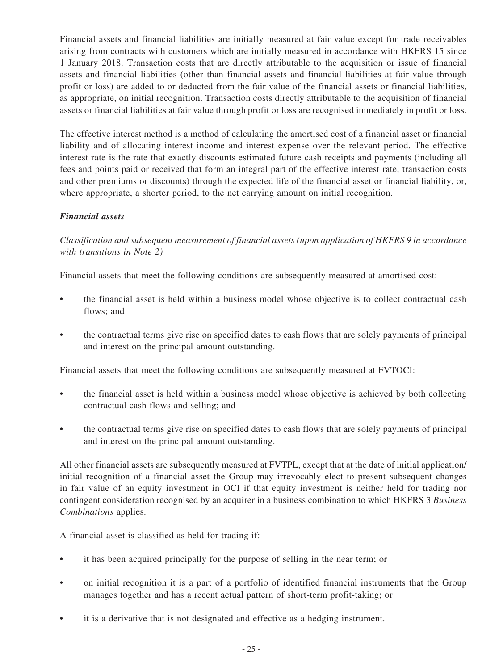Financial assets and financial liabilities are initially measured at fair value except for trade receivables arising from contracts with customers which are initially measured in accordance with HKFRS 15 since 1 January 2018. Transaction costs that are directly attributable to the acquisition or issue of financial assets and financial liabilities (other than financial assets and financial liabilities at fair value through profit or loss) are added to or deducted from the fair value of the financial assets or financial liabilities, as appropriate, on initial recognition. Transaction costs directly attributable to the acquisition of financial assets or financial liabilities at fair value through profit or loss are recognised immediately in profit or loss.

The effective interest method is a method of calculating the amortised cost of a financial asset or financial liability and of allocating interest income and interest expense over the relevant period. The effective interest rate is the rate that exactly discounts estimated future cash receipts and payments (including all fees and points paid or received that form an integral part of the effective interest rate, transaction costs and other premiums or discounts) through the expected life of the financial asset or financial liability, or, where appropriate, a shorter period, to the net carrying amount on initial recognition.

### *Financial assets*

*Classification and subsequent measurement of financial assets (upon application of HKFRS 9 in accordance with transitions in Note 2)*

Financial assets that meet the following conditions are subsequently measured at amortised cost:

- the financial asset is held within a business model whose objective is to collect contractual cash flows; and
- the contractual terms give rise on specified dates to cash flows that are solely payments of principal and interest on the principal amount outstanding.

Financial assets that meet the following conditions are subsequently measured at FVTOCI:

- the financial asset is held within a business model whose objective is achieved by both collecting contractual cash flows and selling; and
- the contractual terms give rise on specified dates to cash flows that are solely payments of principal and interest on the principal amount outstanding.

All other financial assets are subsequently measured at FVTPL, except that at the date of initial application/ initial recognition of a financial asset the Group may irrevocably elect to present subsequent changes in fair value of an equity investment in OCI if that equity investment is neither held for trading nor contingent consideration recognised by an acquirer in a business combination to which HKFRS 3 *Business Combinations* applies.

A financial asset is classified as held for trading if:

- it has been acquired principally for the purpose of selling in the near term; or
- on initial recognition it is a part of a portfolio of identified financial instruments that the Group manages together and has a recent actual pattern of short-term profit-taking; or
- it is a derivative that is not designated and effective as a hedging instrument.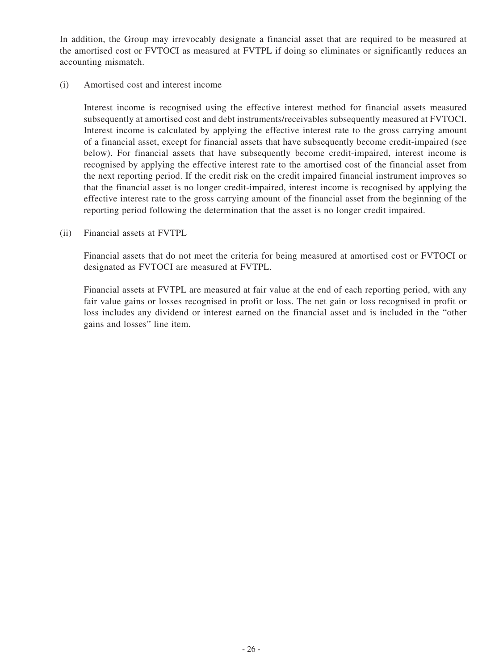In addition, the Group may irrevocably designate a financial asset that are required to be measured at the amortised cost or FVTOCI as measured at FVTPL if doing so eliminates or significantly reduces an accounting mismatch.

#### (i) Amortised cost and interest income

Interest income is recognised using the effective interest method for financial assets measured subsequently at amortised cost and debt instruments/receivables subsequently measured at FVTOCI. Interest income is calculated by applying the effective interest rate to the gross carrying amount of a financial asset, except for financial assets that have subsequently become credit-impaired (see below). For financial assets that have subsequently become credit-impaired, interest income is recognised by applying the effective interest rate to the amortised cost of the financial asset from the next reporting period. If the credit risk on the credit impaired financial instrument improves so that the financial asset is no longer credit-impaired, interest income is recognised by applying the effective interest rate to the gross carrying amount of the financial asset from the beginning of the reporting period following the determination that the asset is no longer credit impaired.

(ii) Financial assets at FVTPL

Financial assets that do not meet the criteria for being measured at amortised cost or FVTOCI or designated as FVTOCI are measured at FVTPL.

Financial assets at FVTPL are measured at fair value at the end of each reporting period, with any fair value gains or losses recognised in profit or loss. The net gain or loss recognised in profit or loss includes any dividend or interest earned on the financial asset and is included in the "other gains and losses" line item.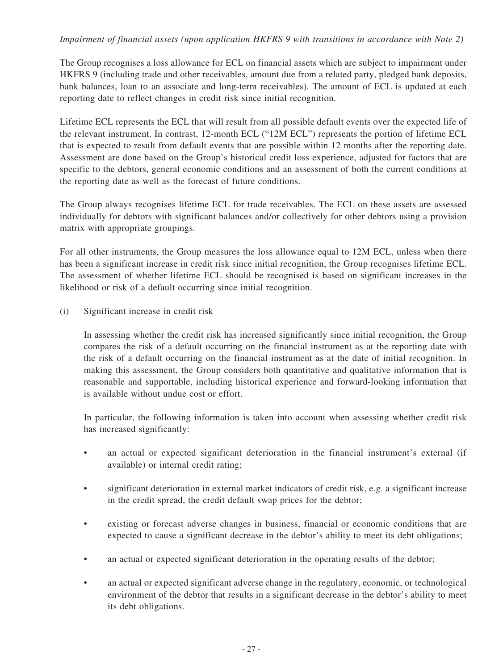### *Impairment of financial assets (upon application HKFRS 9 with transitions in accordance with Note 2)*

The Group recognises a loss allowance for ECL on financial assets which are subject to impairment under HKFRS 9 (including trade and other receivables, amount due from a related party, pledged bank deposits, bank balances, loan to an associate and long-term receivables). The amount of ECL is updated at each reporting date to reflect changes in credit risk since initial recognition.

Lifetime ECL represents the ECL that will result from all possible default events over the expected life of the relevant instrument. In contrast, 12-month ECL ("12M ECL") represents the portion of lifetime ECL that is expected to result from default events that are possible within 12 months after the reporting date. Assessment are done based on the Group's historical credit loss experience, adjusted for factors that are specific to the debtors, general economic conditions and an assessment of both the current conditions at the reporting date as well as the forecast of future conditions.

The Group always recognises lifetime ECL for trade receivables. The ECL on these assets are assessed individually for debtors with significant balances and/or collectively for other debtors using a provision matrix with appropriate groupings.

For all other instruments, the Group measures the loss allowance equal to 12M ECL, unless when there has been a significant increase in credit risk since initial recognition, the Group recognises lifetime ECL. The assessment of whether lifetime ECL should be recognised is based on significant increases in the likelihood or risk of a default occurring since initial recognition.

(i) Significant increase in credit risk

In assessing whether the credit risk has increased significantly since initial recognition, the Group compares the risk of a default occurring on the financial instrument as at the reporting date with the risk of a default occurring on the financial instrument as at the date of initial recognition. In making this assessment, the Group considers both quantitative and qualitative information that is reasonable and supportable, including historical experience and forward-looking information that is available without undue cost or effort.

In particular, the following information is taken into account when assessing whether credit risk has increased significantly:

- an actual or expected significant deterioration in the financial instrument's external (if available) or internal credit rating;
- significant deterioration in external market indicators of credit risk, e.g. a significant increase in the credit spread, the credit default swap prices for the debtor;
- existing or forecast adverse changes in business, financial or economic conditions that are expected to cause a significant decrease in the debtor's ability to meet its debt obligations;
- an actual or expected significant deterioration in the operating results of the debtor;
- an actual or expected significant adverse change in the regulatory, economic, or technological environment of the debtor that results in a significant decrease in the debtor's ability to meet its debt obligations.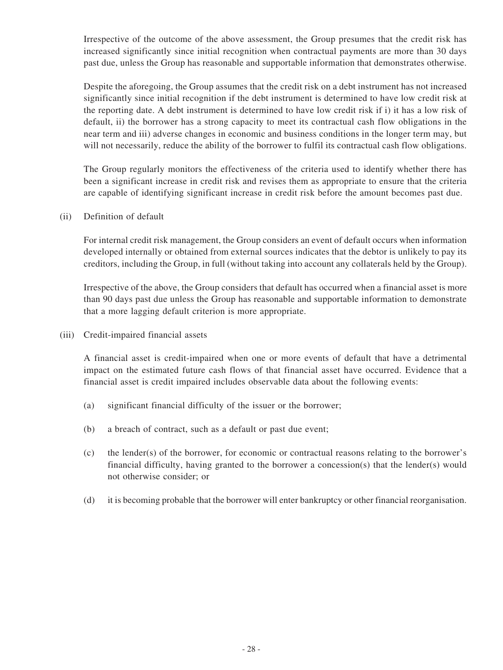Irrespective of the outcome of the above assessment, the Group presumes that the credit risk has increased significantly since initial recognition when contractual payments are more than 30 days past due, unless the Group has reasonable and supportable information that demonstrates otherwise.

Despite the aforegoing, the Group assumes that the credit risk on a debt instrument has not increased significantly since initial recognition if the debt instrument is determined to have low credit risk at the reporting date. A debt instrument is determined to have low credit risk if i) it has a low risk of default, ii) the borrower has a strong capacity to meet its contractual cash flow obligations in the near term and iii) adverse changes in economic and business conditions in the longer term may, but will not necessarily, reduce the ability of the borrower to fulfil its contractual cash flow obligations.

The Group regularly monitors the effectiveness of the criteria used to identify whether there has been a significant increase in credit risk and revises them as appropriate to ensure that the criteria are capable of identifying significant increase in credit risk before the amount becomes past due.

(ii) Definition of default

For internal credit risk management, the Group considers an event of default occurs when information developed internally or obtained from external sources indicates that the debtor is unlikely to pay its creditors, including the Group, in full (without taking into account any collaterals held by the Group).

Irrespective of the above, the Group considers that default has occurred when a financial asset is more than 90 days past due unless the Group has reasonable and supportable information to demonstrate that a more lagging default criterion is more appropriate.

(iii) Credit-impaired financial assets

A financial asset is credit-impaired when one or more events of default that have a detrimental impact on the estimated future cash flows of that financial asset have occurred. Evidence that a financial asset is credit impaired includes observable data about the following events:

- (a) significant financial difficulty of the issuer or the borrower;
- (b) a breach of contract, such as a default or past due event;
- (c) the lender(s) of the borrower, for economic or contractual reasons relating to the borrower's financial difficulty, having granted to the borrower a concession(s) that the lender(s) would not otherwise consider; or
- (d) it is becoming probable that the borrower will enter bankruptcy or other financial reorganisation.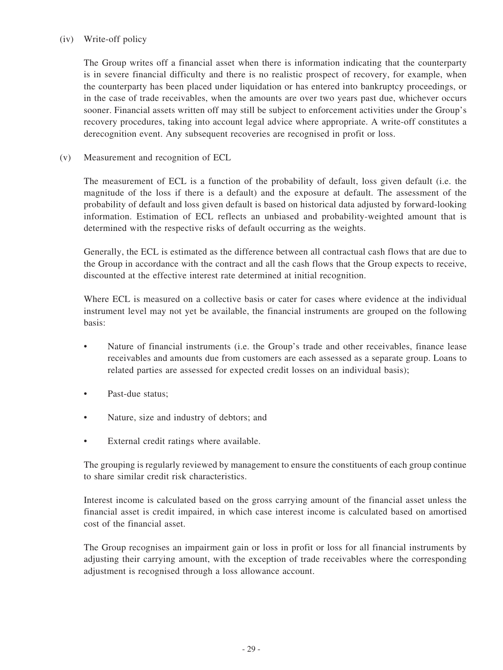### (iv) Write-off policy

The Group writes off a financial asset when there is information indicating that the counterparty is in severe financial difficulty and there is no realistic prospect of recovery, for example, when the counterparty has been placed under liquidation or has entered into bankruptcy proceedings, or in the case of trade receivables, when the amounts are over two years past due, whichever occurs sooner. Financial assets written off may still be subject to enforcement activities under the Group's recovery procedures, taking into account legal advice where appropriate. A write-off constitutes a derecognition event. Any subsequent recoveries are recognised in profit or loss.

(v) Measurement and recognition of ECL

The measurement of ECL is a function of the probability of default, loss given default (i.e. the magnitude of the loss if there is a default) and the exposure at default. The assessment of the probability of default and loss given default is based on historical data adjusted by forward-looking information. Estimation of ECL reflects an unbiased and probability-weighted amount that is determined with the respective risks of default occurring as the weights.

Generally, the ECL is estimated as the difference between all contractual cash flows that are due to the Group in accordance with the contract and all the cash flows that the Group expects to receive, discounted at the effective interest rate determined at initial recognition.

Where ECL is measured on a collective basis or cater for cases where evidence at the individual instrument level may not yet be available, the financial instruments are grouped on the following basis:

- Nature of financial instruments (i.e. the Group's trade and other receivables, finance lease receivables and amounts due from customers are each assessed as a separate group. Loans to related parties are assessed for expected credit losses on an individual basis);
- Past-due status;
- Nature, size and industry of debtors; and
- External credit ratings where available.

The grouping is regularly reviewed by management to ensure the constituents of each group continue to share similar credit risk characteristics.

Interest income is calculated based on the gross carrying amount of the financial asset unless the financial asset is credit impaired, in which case interest income is calculated based on amortised cost of the financial asset.

The Group recognises an impairment gain or loss in profit or loss for all financial instruments by adjusting their carrying amount, with the exception of trade receivables where the corresponding adjustment is recognised through a loss allowance account.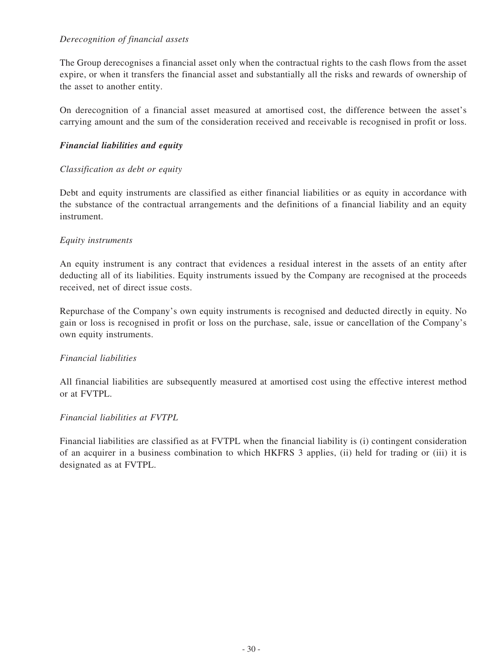### *Derecognition of financial assets*

The Group derecognises a financial asset only when the contractual rights to the cash flows from the asset expire, or when it transfers the financial asset and substantially all the risks and rewards of ownership of the asset to another entity.

On derecognition of a financial asset measured at amortised cost, the difference between the asset's carrying amount and the sum of the consideration received and receivable is recognised in profit or loss.

### *Financial liabilities and equity*

#### *Classification as debt or equity*

Debt and equity instruments are classified as either financial liabilities or as equity in accordance with the substance of the contractual arrangements and the definitions of a financial liability and an equity instrument.

### *Equity instruments*

An equity instrument is any contract that evidences a residual interest in the assets of an entity after deducting all of its liabilities. Equity instruments issued by the Company are recognised at the proceeds received, net of direct issue costs.

Repurchase of the Company's own equity instruments is recognised and deducted directly in equity. No gain or loss is recognised in profit or loss on the purchase, sale, issue or cancellation of the Company's own equity instruments.

#### *Financial liabilities*

All financial liabilities are subsequently measured at amortised cost using the effective interest method or at FVTPL.

#### *Financial liabilities at FVTPL*

Financial liabilities are classified as at FVTPL when the financial liability is (i) contingent consideration of an acquirer in a business combination to which HKFRS 3 applies, (ii) held for trading or (iii) it is designated as at FVTPL.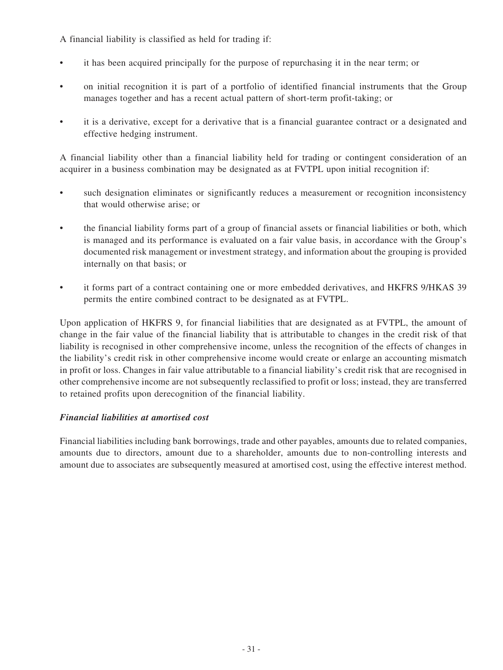A financial liability is classified as held for trading if:

- it has been acquired principally for the purpose of repurchasing it in the near term; or
- on initial recognition it is part of a portfolio of identified financial instruments that the Group manages together and has a recent actual pattern of short-term profit-taking; or
- it is a derivative, except for a derivative that is a financial guarantee contract or a designated and effective hedging instrument.

A financial liability other than a financial liability held for trading or contingent consideration of an acquirer in a business combination may be designated as at FVTPL upon initial recognition if:

- such designation eliminates or significantly reduces a measurement or recognition inconsistency that would otherwise arise; or
- the financial liability forms part of a group of financial assets or financial liabilities or both, which is managed and its performance is evaluated on a fair value basis, in accordance with the Group's documented risk management or investment strategy, and information about the grouping is provided internally on that basis; or
- it forms part of a contract containing one or more embedded derivatives, and HKFRS 9/HKAS 39 permits the entire combined contract to be designated as at FVTPL.

Upon application of HKFRS 9, for financial liabilities that are designated as at FVTPL, the amount of change in the fair value of the financial liability that is attributable to changes in the credit risk of that liability is recognised in other comprehensive income, unless the recognition of the effects of changes in the liability's credit risk in other comprehensive income would create or enlarge an accounting mismatch in profit or loss. Changes in fair value attributable to a financial liability's credit risk that are recognised in other comprehensive income are not subsequently reclassified to profit or loss; instead, they are transferred to retained profits upon derecognition of the financial liability.

### *Financial liabilities at amortised cost*

Financial liabilities including bank borrowings, trade and other payables, amounts due to related companies, amounts due to directors, amount due to a shareholder, amounts due to non-controlling interests and amount due to associates are subsequently measured at amortised cost, using the effective interest method.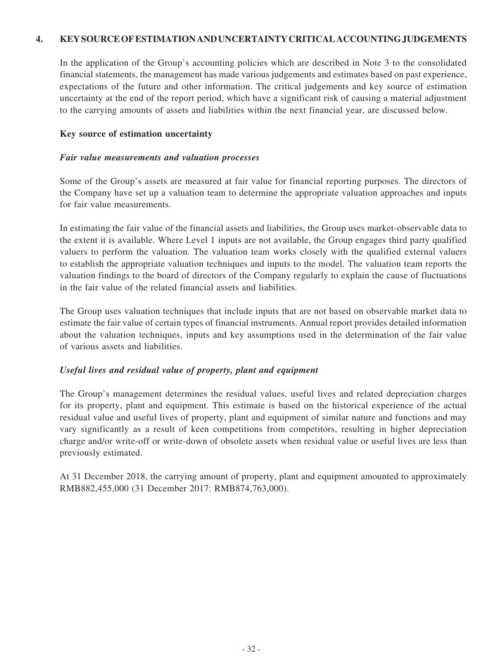### **4. KEY SOURCE OF ESTIMATION AND UNCERTAINTY CRITICAL ACCOUNTING JUDGEMENTS**

In the application of the Group's accounting policies which are described in Note 3 to the consolidated financial statements, the management has made various judgements and estimates based on past experience, expectations of the future and other information. The critical judgements and key source of estimation uncertainty at the end of the report period, which have a significant risk of causing a material adjustment to the carrying amounts of assets and liabilities within the next financial year, are discussed below.

#### **Key source of estimation uncertainty**

#### *Fair value measurements and valuation processes*

Some of the Group's assets are measured at fair value for financial reporting purposes. The directors of the Company have set up a valuation team to determine the appropriate valuation approaches and inputs for fair value measurements.

In estimating the fair value of the financial assets and liabilities, the Group uses market-observable data to the extent it is available. Where Level 1 inputs are not available, the Group engages third party qualified valuers to perform the valuation. The valuation team works closely with the qualified external valuers to establish the appropriate valuation techniques and inputs to the model. The valuation team reports the valuation findings to the board of directors of the Company regularly to explain the cause of fluctuations in the fair value of the related financial assets and liabilities.

The Group uses valuation techniques that include inputs that are not based on observable market data to estimate the fair value of certain types of financial instruments. Annual report provides detailed information about the valuation techniques, inputs and key assumptions used in the determination of the fair value of various assets and liabilities.

#### *Useful lives and residual value of property, plant and equipment*

The Group's management determines the residual values, useful lives and related depreciation charges for its property, plant and equipment. This estimate is based on the historical experience of the actual residual value and useful lives of property, plant and equipment of similar nature and functions and may vary significantly as a result of keen competitions from competitors, resulting in higher depreciation charge and/or write-off or write-down of obsolete assets when residual value or useful lives are less than previously estimated.

At 31 December 2018, the carrying amount of property, plant and equipment amounted to approximately RMB882,455,000 (31 December 2017: RMB874,763,000).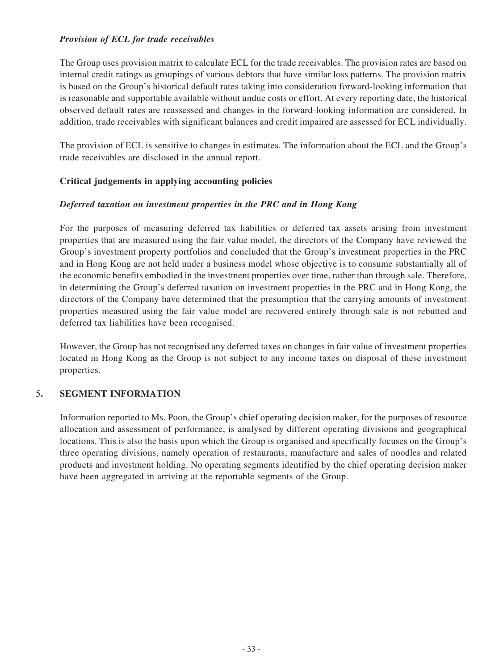### *Provision of ECL for trade receivables*

The Group uses provision matrix to calculate ECL for the trade receivables. The provision rates are based on internal credit ratings as groupings of various debtors that have similar loss patterns. The provision matrix is based on the Group's historical default rates taking into consideration forward-looking information that is reasonable and supportable available without undue costs or effort. At every reporting date, the historical observed default rates are reassessed and changes in the forward-looking information are considered. In addition, trade receivables with significant balances and credit impaired are assessed for ECL individually.

The provision of ECL is sensitive to changes in estimates. The information about the ECL and the Group's trade receivables are disclosed in the annual report.

### **Critical judgements in applying accounting policies**

### *Deferred taxation on investment properties in the PRC and in Hong Kong*

For the purposes of measuring deferred tax liabilities or deferred tax assets arising from investment properties that are measured using the fair value model, the directors of the Company have reviewed the Group's investment property portfolios and concluded that the Group's investment properties in the PRC and in Hong Kong are not held under a business model whose objective is to consume substantially all of the economic benefits embodied in the investment properties over time, rather than through sale. Therefore, in determining the Group's deferred taxation on investment properties in the PRC and in Hong Kong, the directors of the Company have determined that the presumption that the carrying amounts of investment properties measured using the fair value model are recovered entirely through sale is not rebutted and deferred tax liabilities have been recognised.

However, the Group has not recognised any deferred taxes on changes in fair value of investment properties located in Hong Kong as the Group is not subject to any income taxes on disposal of these investment properties.

### 5**. SEGMENT INFORMATION**

Information reported to Ms. Poon, the Group's chief operating decision maker, for the purposes of resource allocation and assessment of performance, is analysed by different operating divisions and geographical locations. This is also the basis upon which the Group is organised and specifically focuses on the Group's three operating divisions, namely operation of restaurants, manufacture and sales of noodles and related products and investment holding. No operating segments identified by the chief operating decision maker have been aggregated in arriving at the reportable segments of the Group.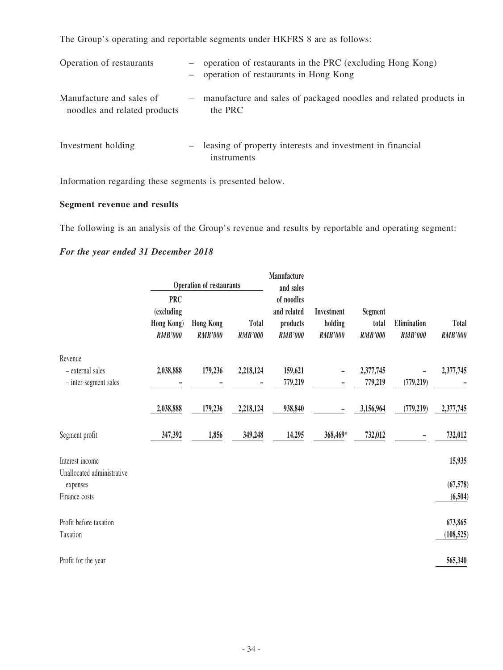The Group's operating and reportable segments under HKFRS 8 are as follows:

| Operation of restaurants                                 |     | operation of restaurants in the PRC (excluding Hong Kong)<br>operation of restaurants in Hong Kong |
|----------------------------------------------------------|-----|----------------------------------------------------------------------------------------------------|
| Manufacture and sales of<br>noodles and related products | $-$ | manufacture and sales of packaged noodles and related products in<br>the PRC                       |
| Investment holding                                       |     | leasing of property interests and investment in financial<br>instruments                           |

Information regarding these segments is presented below.

# **Segment revenue and results**

The following is an analysis of the Group's revenue and results by reportable and operating segment:

## *For the year ended 31 December 2018*

|                                               |                                                          | <b>Operation of restaurants</b>    |                                | <b>Manufacture</b><br>and sales                         |                                         |                                    |                               |                                |
|-----------------------------------------------|----------------------------------------------------------|------------------------------------|--------------------------------|---------------------------------------------------------|-----------------------------------------|------------------------------------|-------------------------------|--------------------------------|
|                                               | <b>PRC</b><br>(excluding<br>Hong Kong)<br><b>RMB'000</b> | <b>Hong Kong</b><br><b>RMB'000</b> | <b>Total</b><br><b>RMB'000</b> | of noodles<br>and related<br>products<br><b>RMB'000</b> | Investment<br>holding<br><b>RMB'000</b> | Segment<br>total<br><b>RMB'000</b> | Elimination<br><b>RMB'000</b> | <b>Total</b><br><b>RMB'000</b> |
| Revenue                                       |                                                          |                                    |                                |                                                         |                                         |                                    |                               |                                |
| - external sales                              | 2,038,888                                                | 179,236                            | 2,218,124                      | 159,621                                                 |                                         | 2,377,745                          |                               | 2,377,745                      |
| - inter-segment sales                         |                                                          |                                    |                                | 779,219                                                 |                                         | 779,219                            | (779, 219)                    |                                |
|                                               | 2,038,888                                                | 179,236                            | 2,218,124                      | 938,840                                                 |                                         | 3,156,964                          | (779, 219)                    | 2,377,745                      |
| Segment profit                                | 347,392                                                  | 1,856                              | 349,248                        | 14,295                                                  | 368,469*                                | 732,012                            |                               | 732,012                        |
| Interest income<br>Unallocated administrative |                                                          |                                    |                                |                                                         |                                         |                                    |                               | 15,935                         |
| expenses                                      |                                                          |                                    |                                |                                                         |                                         |                                    |                               | (67,578)                       |
| Finance costs                                 |                                                          |                                    |                                |                                                         |                                         |                                    |                               | (6,504)                        |
| Profit before taxation                        |                                                          |                                    |                                |                                                         |                                         |                                    |                               | 673,865                        |
| Taxation                                      |                                                          |                                    |                                |                                                         |                                         |                                    |                               | (108, 525)                     |
| Profit for the year                           |                                                          |                                    |                                |                                                         |                                         |                                    |                               | 565,340                        |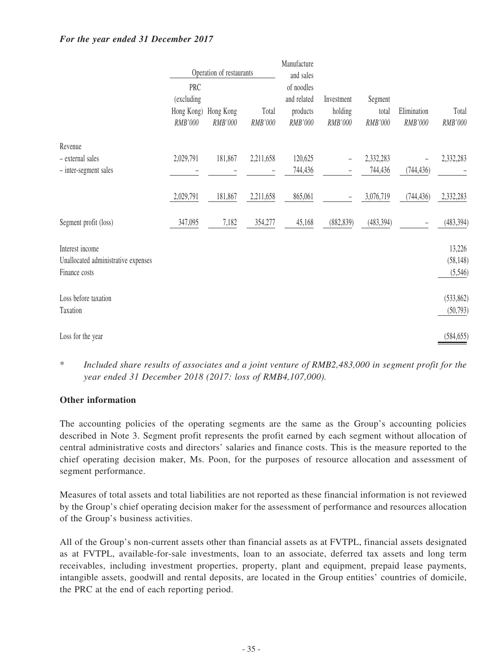### *For the year ended 31 December 2017*

|                                                                         |                                            | Operation of restaurants |                  | Manufacture<br>and sales                         |                                  |                             |                        |                                |
|-------------------------------------------------------------------------|--------------------------------------------|--------------------------|------------------|--------------------------------------------------|----------------------------------|-----------------------------|------------------------|--------------------------------|
|                                                                         | PRC<br>(excluding<br>Hong Kong)<br>RMB'000 | Hong Kong<br>RMB'000     | Total<br>RMB'000 | of noodles<br>and related<br>products<br>RMB'000 | Investment<br>holding<br>RMB'000 | Segment<br>total<br>RMB'000 | Elimination<br>RMB'000 | Total<br>RMB'000               |
| Revenue                                                                 |                                            |                          |                  |                                                  |                                  |                             |                        |                                |
| - external sales<br>- inter-segment sales                               | 2,029,791                                  | 181,867                  | 2,211,658        | 120,625<br>744,436                               |                                  | 2,332,283<br>744,436        | (744, 436)             | 2,332,283                      |
|                                                                         | 2,029,791                                  | 181,867                  | 2,211,658        | 865,061                                          |                                  | 3,076,719                   | (744, 436)             | 2,332,283                      |
| Segment profit (loss)                                                   | 347,095                                    | 7,182                    | 354,277          | 45,168                                           | (882, 839)                       | (483, 394)                  |                        | (483, 394)                     |
| Interest income<br>Unallocated administrative expenses<br>Finance costs |                                            |                          |                  |                                                  |                                  |                             |                        | 13,226<br>(58, 148)<br>(5,546) |
| Loss before taxation<br>Taxation                                        |                                            |                          |                  |                                                  |                                  |                             |                        | (533, 862)<br>(50,793)         |
| Loss for the year                                                       |                                            |                          |                  |                                                  |                                  |                             |                        | (584, 655)                     |

\* *Included share results of associates and a joint venture of RMB2,483,000 in segment profit for the year ended 31 December 2018 (2017: loss of RMB4,107,000).*

### **Other information**

The accounting policies of the operating segments are the same as the Group's accounting policies described in Note 3. Segment profit represents the profit earned by each segment without allocation of central administrative costs and directors' salaries and finance costs. This is the measure reported to the chief operating decision maker, Ms. Poon, for the purposes of resource allocation and assessment of segment performance.

Measures of total assets and total liabilities are not reported as these financial information is not reviewed by the Group's chief operating decision maker for the assessment of performance and resources allocation of the Group's business activities.

All of the Group's non-current assets other than financial assets as at FVTPL, financial assets designated as at FVTPL, available-for-sale investments, loan to an associate, deferred tax assets and long term receivables, including investment properties, property, plant and equipment, prepaid lease payments, intangible assets, goodwill and rental deposits, are located in the Group entities' countries of domicile, the PRC at the end of each reporting period.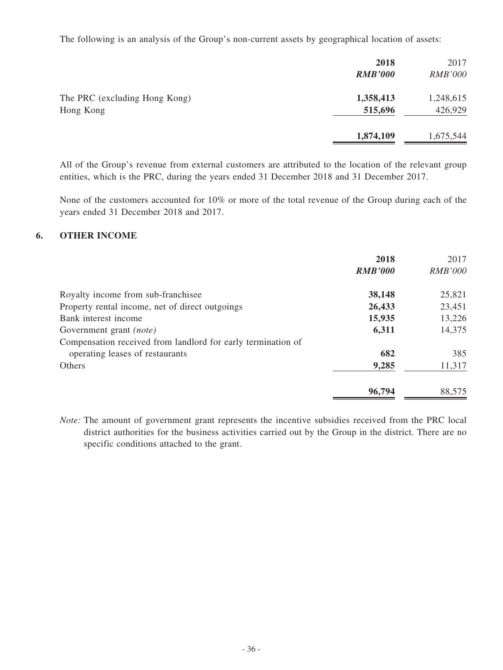The following is an analysis of the Group's non-current assets by geographical location of assets:

|                                            | 2018<br><b>RMB'000</b> | 2017<br><b>RMB'000</b> |
|--------------------------------------------|------------------------|------------------------|
| The PRC (excluding Hong Kong)<br>Hong Kong | 1,358,413<br>515,696   | 1,248,615<br>426,929   |
|                                            | 1,874,109              | 1,675,544              |

All of the Group's revenue from external customers are attributed to the location of the relevant group entities, which is the PRC, during the years ended 31 December 2018 and 31 December 2017.

None of the customers accounted for 10% or more of the total revenue of the Group during each of the years ended 31 December 2018 and 2017.

### **6. OTHER INCOME**

|                                                              | 2018<br><b>RMB'000</b> | 2017<br><i>RMB'000</i> |
|--------------------------------------------------------------|------------------------|------------------------|
| Royalty income from sub-franchisee                           | 38,148                 | 25,821                 |
| Property rental income, net of direct outgoings              | 26,433                 | 23,451                 |
| Bank interest income                                         | 15,935                 | 13,226                 |
| Government grant <i>(note)</i>                               | 6,311                  | 14,375                 |
| Compensation received from landlord for early termination of |                        |                        |
| operating leases of restaurants                              | 682                    | 385                    |
| Others                                                       | 9,285                  | 11,317                 |
|                                                              | 96,794                 | 88,575                 |

*Note:* The amount of government grant represents the incentive subsidies received from the PRC local district authorities for the business activities carried out by the Group in the district. There are no specific conditions attached to the grant.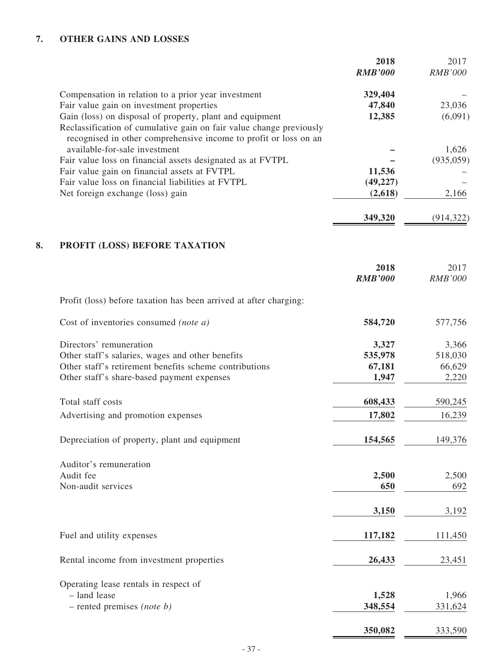# **7. OTHER GAINS AND LOSSES**

|    |                                                                                                                                                                                                     | 2018<br><b>RMB'000</b> | 2017<br><b>RMB'000</b> |
|----|-----------------------------------------------------------------------------------------------------------------------------------------------------------------------------------------------------|------------------------|------------------------|
|    | Compensation in relation to a prior year investment<br>Fair value gain on investment properties                                                                                                     | 329,404<br>47,840      | 23,036                 |
|    | Gain (loss) on disposal of property, plant and equipment<br>Reclassification of cumulative gain on fair value change previously<br>recognised in other comprehensive income to profit or loss on an | 12,385                 | (6,091)                |
|    | available-for-sale investment                                                                                                                                                                       |                        | 1,626                  |
|    | Fair value loss on financial assets designated as at FVTPL                                                                                                                                          |                        | (935, 059)             |
|    | Fair value gain on financial assets at FVTPL                                                                                                                                                        | 11,536                 |                        |
|    | Fair value loss on financial liabilities at FVTPL                                                                                                                                                   | (49, 227)              |                        |
|    | Net foreign exchange (loss) gain                                                                                                                                                                    | (2,618)                | 2,166                  |
|    |                                                                                                                                                                                                     | 349,320                | (914, 322)             |
| 8. | PROFIT (LOSS) BEFORE TAXATION                                                                                                                                                                       |                        |                        |
|    |                                                                                                                                                                                                     | 2018                   | 2017                   |
|    |                                                                                                                                                                                                     | <b>RMB'000</b>         | <b>RMB'000</b>         |
|    | Profit (loss) before taxation has been arrived at after charging:                                                                                                                                   |                        |                        |
|    | Cost of inventories consumed (note a)                                                                                                                                                               | 584,720                | 577,756                |
|    | Directors' remuneration                                                                                                                                                                             | 3,327                  | 3,366                  |
|    | Other staff's salaries, wages and other benefits                                                                                                                                                    | 535,978                | 518,030                |
|    | Other staff's retirement benefits scheme contributions                                                                                                                                              | 67,181                 | 66,629                 |
|    | Other staff's share-based payment expenses                                                                                                                                                          | 1,947                  | 2,220                  |
|    | Total staff costs                                                                                                                                                                                   | 608,433                | 590,245                |
|    | Advertising and promotion expenses                                                                                                                                                                  | 17,802                 | 16,239                 |
|    | Depreciation of property, plant and equipment                                                                                                                                                       | 154,565                | 149,376                |
|    |                                                                                                                                                                                                     |                        |                        |
|    | Auditor's remuneration<br>Audit fee                                                                                                                                                                 | 2,500                  | 2,500                  |
|    | Non-audit services                                                                                                                                                                                  | 650                    | 692                    |
|    |                                                                                                                                                                                                     | 3,150                  | 3,192                  |
|    |                                                                                                                                                                                                     |                        |                        |
|    | Fuel and utility expenses                                                                                                                                                                           | 117,182                | 111,450                |
|    | Rental income from investment properties                                                                                                                                                            | 26,433                 | 23,451                 |
|    | Operating lease rentals in respect of                                                                                                                                                               |                        |                        |
|    | - land lease                                                                                                                                                                                        | 1,528                  | 1,966                  |
|    | $-$ rented premises (note b)                                                                                                                                                                        | 348,554                | 331,624                |
|    |                                                                                                                                                                                                     | 350,082                | 333,590                |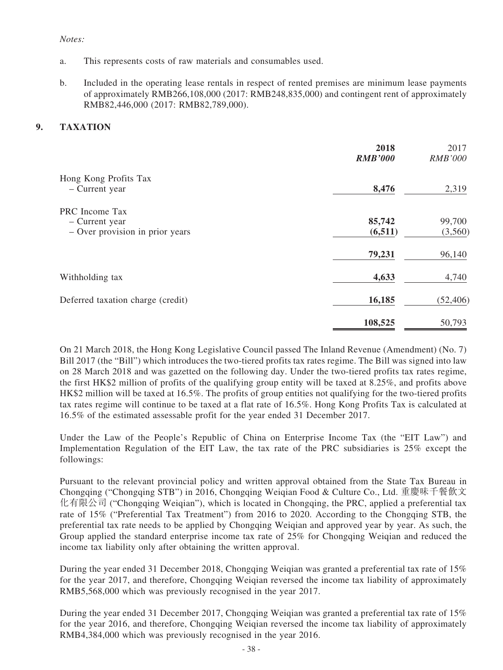#### *Notes:*

- a. This represents costs of raw materials and consumables used.
- b. Included in the operating lease rentals in respect of rented premises are minimum lease payments of approximately RMB266,108,000 (2017: RMB248,835,000) and contingent rent of approximately RMB82,446,000 (2017: RMB82,789,000).

### **9. TAXATION**

|                                                                     | 2018<br><b>RMB'000</b> | 2017<br><b>RMB'000</b> |
|---------------------------------------------------------------------|------------------------|------------------------|
| Hong Kong Profits Tax<br>- Current year                             | 8,476                  | 2,319                  |
| PRC Income Tax<br>- Current year<br>- Over provision in prior years | 85,742<br>(6, 511)     | 99,700<br>(3,560)      |
|                                                                     | 79,231                 | 96,140                 |
| Withholding tax                                                     | 4,633                  | 4,740                  |
| Deferred taxation charge (credit)                                   | 16,185                 | (52, 406)              |
|                                                                     | 108,525                | 50,793                 |

On 21 March 2018, the Hong Kong Legislative Council passed The Inland Revenue (Amendment) (No. 7) Bill 2017 (the "Bill") which introduces the two-tiered profits tax rates regime. The Bill was signed into law on 28 March 2018 and was gazetted on the following day. Under the two-tiered profits tax rates regime, the first HK\$2 million of profits of the qualifying group entity will be taxed at 8.25%, and profits above HK\$2 million will be taxed at 16.5%. The profits of group entities not qualifying for the two-tiered profits tax rates regime will continue to be taxed at a flat rate of 16.5%. Hong Kong Profits Tax is calculated at 16.5% of the estimated assessable profit for the year ended 31 December 2017.

Under the Law of the People's Republic of China on Enterprise Income Tax (the "EIT Law") and Implementation Regulation of the EIT Law, the tax rate of the PRC subsidiaries is 25% except the followings:

Pursuant to the relevant provincial policy and written approval obtained from the State Tax Bureau in Chongqing ("Chongqing STB") in 2016, Chongqing Weiqian Food & Culture Co., Ltd. 重慶味千餐飲文 化有限公司 ("Chongqing Weiqian"), which is located in Chongqing, the PRC, applied a preferential tax rate of 15% ("Preferential Tax Treatment") from 2016 to 2020. According to the Chongqing STB, the preferential tax rate needs to be applied by Chongqing Weiqian and approved year by year. As such, the Group applied the standard enterprise income tax rate of 25% for Chongqing Weiqian and reduced the income tax liability only after obtaining the written approval.

During the year ended 31 December 2018, Chongqing Weigian was granted a preferential tax rate of 15% for the year 2017, and therefore, Chongqing Weiqian reversed the income tax liability of approximately RMB5,568,000 which was previously recognised in the year 2017.

During the year ended 31 December 2017, Chongqing Weiqian was granted a preferential tax rate of 15% for the year 2016, and therefore, Chongqing Weiqian reversed the income tax liability of approximately RMB4,384,000 which was previously recognised in the year 2016.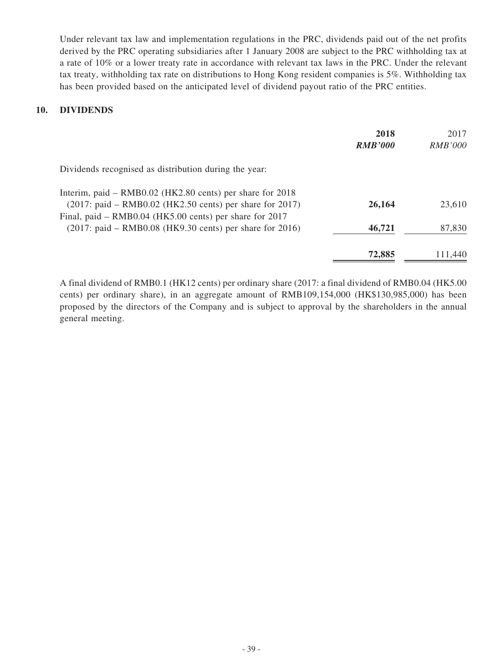Under relevant tax law and implementation regulations in the PRC, dividends paid out of the net profits derived by the PRC operating subsidiaries after 1 January 2008 are subject to the PRC withholding tax at a rate of 10% or a lower treaty rate in accordance with relevant tax laws in the PRC. Under the relevant tax treaty, withholding tax rate on distributions to Hong Kong resident companies is 5%. Withholding tax has been provided based on the anticipated level of dividend payout ratio of the PRC entities.

### **10. DIVIDENDS**

|                                                            | 2018           | 2017           |
|------------------------------------------------------------|----------------|----------------|
|                                                            | <b>RMB'000</b> | <i>RMB'000</i> |
| Dividends recognised as distribution during the year:      |                |                |
| Interim, paid – RMB0.02 (HK2.80 cents) per share for 2018  |                |                |
| $(2017:$ paid – RMB0.02 (HK2.50 cents) per share for 2017) | 26,164         | 23,610         |
| Final, paid – RMB0.04 (HK5.00 cents) per share for 2017    |                |                |
| $(2017:$ paid – RMB0.08 (HK9.30 cents) per share for 2016) | 46,721         | 87,830         |
|                                                            | 72,885         | 111,440        |

A final dividend of RMB0.1 (HK12 cents) per ordinary share (2017: a final dividend of RMB0.04 (HK5.00 cents) per ordinary share), in an aggregate amount of RMB109,154,000 (HK\$130,985,000) has been proposed by the directors of the Company and is subject to approval by the shareholders in the annual general meeting.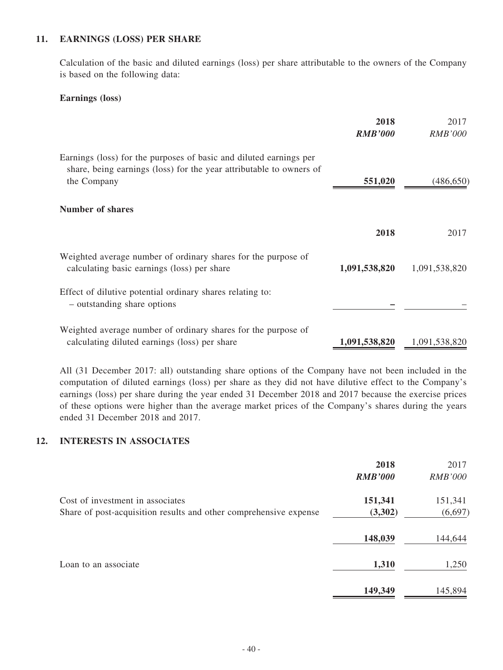### **11. EARNINGS (LOSS) PER SHARE**

Calculation of the basic and diluted earnings (loss) per share attributable to the owners of the Company is based on the following data:

#### **Earnings (loss)**

|                                                                                                                                                          | 2018<br><b>RMB'000</b> | 2017<br><b>RMB'000</b> |
|----------------------------------------------------------------------------------------------------------------------------------------------------------|------------------------|------------------------|
| Earnings (loss) for the purposes of basic and diluted earnings per<br>share, being earnings (loss) for the year attributable to owners of<br>the Company | 551,020                | (486, 650)             |
| Number of shares                                                                                                                                         |                        |                        |
|                                                                                                                                                          | 2018                   | 2017                   |
| Weighted average number of ordinary shares for the purpose of<br>calculating basic earnings (loss) per share                                             | 1,091,538,820          | 1,091,538,820          |
| Effect of dilutive potential ordinary shares relating to:<br>- outstanding share options                                                                 |                        |                        |
| Weighted average number of ordinary shares for the purpose of<br>calculating diluted earnings (loss) per share                                           | 1,091,538,820          | 1,091,538,820          |

All (31 December 2017: all) outstanding share options of the Company have not been included in the computation of diluted earnings (loss) per share as they did not have dilutive effect to the Company's earnings (loss) per share during the year ended 31 December 2018 and 2017 because the exercise prices of these options were higher than the average market prices of the Company's shares during the years ended 31 December 2018 and 2017.

#### **12. INTERESTS IN ASSOCIATES**

|                                                                                                       | 2018<br><b>RMB'000</b> | 2017<br><b>RMB'000</b> |
|-------------------------------------------------------------------------------------------------------|------------------------|------------------------|
| Cost of investment in associates<br>Share of post-acquisition results and other comprehensive expense | 151,341<br>(3,302)     | 151,341<br>(6,697)     |
|                                                                                                       | 148,039                | 144,644                |
| Loan to an associate                                                                                  | 1,310                  | 1,250                  |
|                                                                                                       | 149,349                | 145,894                |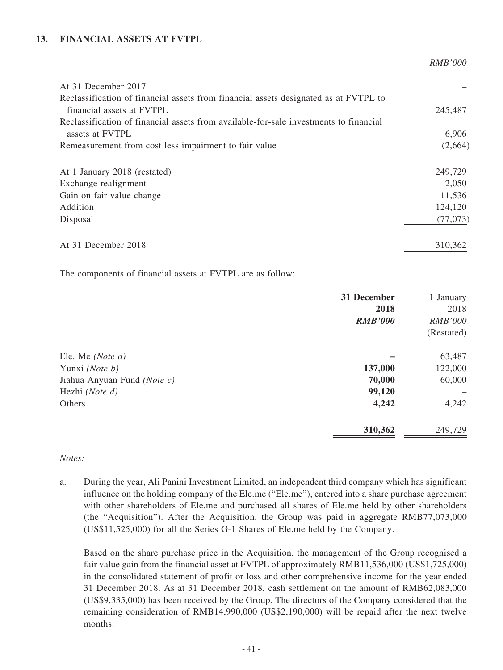### **13. FINANCIAL ASSETS AT FVTPL**

*RMB'000*

| At 31 December 2017                                                                                               |           |
|-------------------------------------------------------------------------------------------------------------------|-----------|
| Reclassification of financial assets from financial assets designated as at FVTPL to<br>financial assets at FVTPL | 245,487   |
| Reclassification of financial assets from available-for-sale investments to financial                             |           |
| assets at FVTPL                                                                                                   | 6,906     |
| Remeasurement from cost less impairment to fair value                                                             | (2,664)   |
| At 1 January 2018 (restated)                                                                                      | 249,729   |
| Exchange realignment                                                                                              | 2,050     |
| Gain on fair value change                                                                                         | 11,536    |
| Addition                                                                                                          | 124,120   |
| Disposal                                                                                                          | (77, 073) |
| At 31 December 2018                                                                                               | 310,362   |

The components of financial assets at FVTPL are as follow:

| 31 December    | 1 January      |
|----------------|----------------|
| 2018           | 2018           |
| <b>RMB'000</b> | <b>RMB'000</b> |
|                | (Restated)     |
|                | 63,487         |
| 137,000        | 122,000        |
| 70,000         | 60,000         |
| 99,120         |                |
| 4,242          | 4,242          |
| 310,362        | 249,729        |
|                |                |

#### *Notes:*

a. During the year, Ali Panini Investment Limited, an independent third company which has significant influence on the holding company of the Ele.me ("Ele.me"), entered into a share purchase agreement with other shareholders of Ele.me and purchased all shares of Ele.me held by other shareholders (the "Acquisition"). After the Acquisition, the Group was paid in aggregate RMB77,073,000 (US\$11,525,000) for all the Series G-1 Shares of Ele.me held by the Company.

Based on the share purchase price in the Acquisition, the management of the Group recognised a fair value gain from the financial asset at FVTPL of approximately RMB11,536,000 (US\$1,725,000) in the consolidated statement of profit or loss and other comprehensive income for the year ended 31 December 2018. As at 31 December 2018, cash settlement on the amount of RMB62,083,000 (US\$9,335,000) has been received by the Group. The directors of the Company considered that the remaining consideration of RMB14,990,000 (US\$2,190,000) will be repaid after the next twelve months.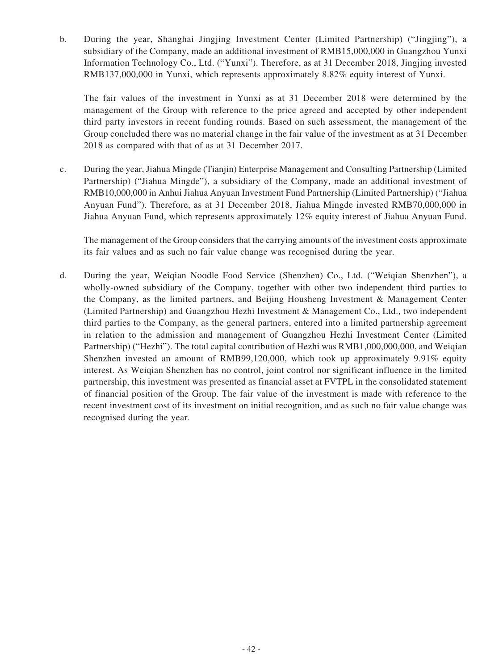b. During the year, Shanghai Jingjing Investment Center (Limited Partnership) ("Jingjing"), a subsidiary of the Company, made an additional investment of RMB15,000,000 in Guangzhou Yunxi Information Technology Co., Ltd. ("Yunxi"). Therefore, as at 31 December 2018, Jingjing invested RMB137,000,000 in Yunxi, which represents approximately 8.82% equity interest of Yunxi.

The fair values of the investment in Yunxi as at 31 December 2018 were determined by the management of the Group with reference to the price agreed and accepted by other independent third party investors in recent funding rounds. Based on such assessment, the management of the Group concluded there was no material change in the fair value of the investment as at 31 December 2018 as compared with that of as at 31 December 2017.

c. During the year, Jiahua Mingde (Tianjin) Enterprise Management and Consulting Partnership (Limited Partnership) ("Jiahua Mingde"), a subsidiary of the Company, made an additional investment of RMB10,000,000 in Anhui Jiahua Anyuan Investment Fund Partnership (Limited Partnership) ("Jiahua Anyuan Fund"). Therefore, as at 31 December 2018, Jiahua Mingde invested RMB70,000,000 in Jiahua Anyuan Fund, which represents approximately 12% equity interest of Jiahua Anyuan Fund.

The management of the Group considers that the carrying amounts of the investment costs approximate its fair values and as such no fair value change was recognised during the year.

d. During the year, Weiqian Noodle Food Service (Shenzhen) Co., Ltd. ("Weiqian Shenzhen"), a wholly-owned subsidiary of the Company, together with other two independent third parties to the Company, as the limited partners, and Beijing Housheng Investment & Management Center (Limited Partnership) and Guangzhou Hezhi Investment & Management Co., Ltd., two independent third parties to the Company, as the general partners, entered into a limited partnership agreement in relation to the admission and management of Guangzhou Hezhi Investment Center (Limited Partnership) ("Hezhi"). The total capital contribution of Hezhi was RMB1,000,000,000, and Weiqian Shenzhen invested an amount of RMB99,120,000, which took up approximately 9.91% equity interest. As Weiqian Shenzhen has no control, joint control nor significant influence in the limited partnership, this investment was presented as financial asset at FVTPL in the consolidated statement of financial position of the Group. The fair value of the investment is made with reference to the recent investment cost of its investment on initial recognition, and as such no fair value change was recognised during the year.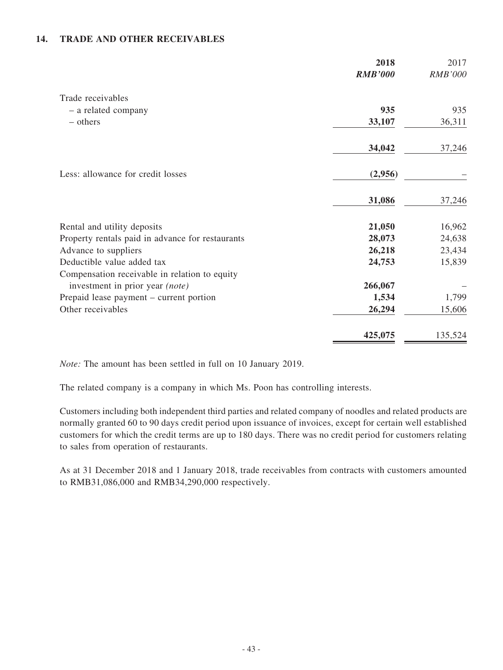### **14. TRADE AND OTHER RECEIVABLES**

|                                                  | 2018<br><b>RMB'000</b> | 2017<br><b>RMB'000</b> |
|--------------------------------------------------|------------------------|------------------------|
| Trade receivables                                |                        |                        |
| - a related company                              | 935                    | 935                    |
| - others                                         | 33,107                 | 36,311                 |
|                                                  | 34,042                 | 37,246                 |
| Less: allowance for credit losses                | (2,956)                |                        |
|                                                  | 31,086                 | 37,246                 |
| Rental and utility deposits                      | 21,050                 | 16,962                 |
| Property rentals paid in advance for restaurants | 28,073                 | 24,638                 |
| Advance to suppliers                             | 26,218                 | 23,434                 |
| Deductible value added tax                       | 24,753                 | 15,839                 |
| Compensation receivable in relation to equity    |                        |                        |
| investment in prior year (note)                  | 266,067                |                        |
| Prepaid lease payment – current portion          | 1,534                  | 1,799                  |
| Other receivables                                | 26,294                 | 15,606                 |
|                                                  | 425,075                | 135,524                |

*Note:* The amount has been settled in full on 10 January 2019.

The related company is a company in which Ms. Poon has controlling interests.

Customers including both independent third parties and related company of noodles and related products are normally granted 60 to 90 days credit period upon issuance of invoices, except for certain well established customers for which the credit terms are up to 180 days. There was no credit period for customers relating to sales from operation of restaurants.

As at 31 December 2018 and 1 January 2018, trade receivables from contracts with customers amounted to RMB31,086,000 and RMB34,290,000 respectively.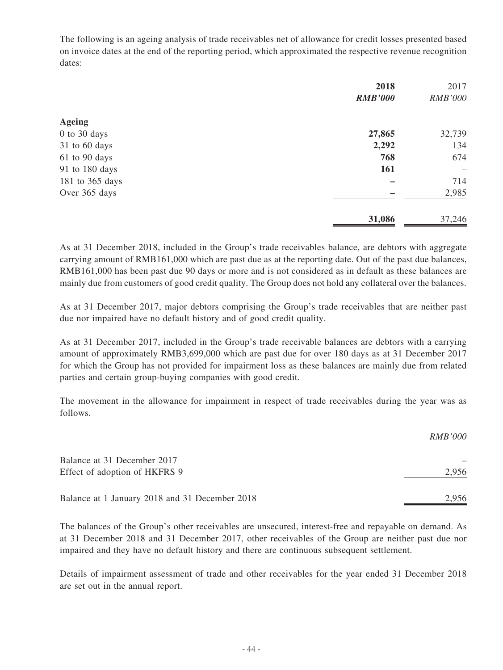The following is an ageing analysis of trade receivables net of allowance for credit losses presented based on invoice dates at the end of the reporting period, which approximated the respective revenue recognition dates:

|                  | 2018           | 2017              |
|------------------|----------------|-------------------|
|                  | <b>RMB'000</b> | <b>RMB'000</b>    |
| <b>Ageing</b>    |                |                   |
| $0$ to $30$ days | 27,865         | 32,739            |
| 31 to 60 days    | 2,292          | 134               |
| 61 to 90 days    | 768            | 674               |
| 91 to 180 days   | 161            | $\qquad \qquad -$ |
| 181 to 365 days  |                | 714               |
| Over 365 days    |                | 2,985             |
|                  | 31,086         | 37,246            |

As at 31 December 2018, included in the Group's trade receivables balance, are debtors with aggregate carrying amount of RMB161,000 which are past due as at the reporting date. Out of the past due balances, RMB161,000 has been past due 90 days or more and is not considered as in default as these balances are mainly due from customers of good credit quality. The Group does not hold any collateral over the balances.

As at 31 December 2017, major debtors comprising the Group's trade receivables that are neither past due nor impaired have no default history and of good credit quality.

As at 31 December 2017, included in the Group's trade receivable balances are debtors with a carrying amount of approximately RMB3,699,000 which are past due for over 180 days as at 31 December 2017 for which the Group has not provided for impairment loss as these balances are mainly due from related parties and certain group-buying companies with good credit.

The movement in the allowance for impairment in respect of trade receivables during the year was as follows.

|                                                | <i>RMB'000</i> |
|------------------------------------------------|----------------|
| Balance at 31 December 2017                    |                |
| Effect of adoption of HKFRS 9                  | 2,956          |
| Balance at 1 January 2018 and 31 December 2018 | 2.956          |

The balances of the Group's other receivables are unsecured, interest-free and repayable on demand. As at 31 December 2018 and 31 December 2017, other receivables of the Group are neither past due nor impaired and they have no default history and there are continuous subsequent settlement.

Details of impairment assessment of trade and other receivables for the year ended 31 December 2018 are set out in the annual report.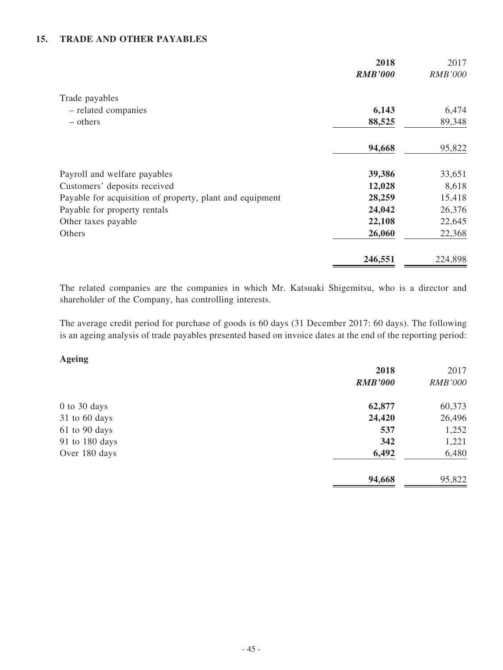### **15. TRADE AND OTHER PAYABLES**

|                                                          | 2018<br><b>RMB'000</b> | 2017<br><b>RMB'000</b> |
|----------------------------------------------------------|------------------------|------------------------|
| Trade payables                                           |                        |                        |
| - related companies                                      | 6,143                  | 6,474                  |
| – others                                                 | 88,525                 | 89,348                 |
|                                                          | 94,668                 | 95,822                 |
| Payroll and welfare payables                             | 39,386                 | 33,651                 |
| Customers' deposits received                             | 12,028                 | 8,618                  |
| Payable for acquisition of property, plant and equipment | 28,259                 | 15,418                 |
| Payable for property rentals                             | 24,042                 | 26,376                 |
| Other taxes payable                                      | 22,108                 | 22,645                 |
| Others                                                   | 26,060                 | 22,368                 |
|                                                          | 246,551                | 224,898                |

The related companies are the companies in which Mr. Katsuaki Shigemitsu, who is a director and shareholder of the Company, has controlling interests.

The average credit period for purchase of goods is 60 days (31 December 2017: 60 days). The following is an ageing analysis of trade payables presented based on invoice dates at the end of the reporting period:

**Ageing**

|                  | 2018           | 2017           |
|------------------|----------------|----------------|
|                  | <b>RMB'000</b> | <b>RMB'000</b> |
| $0$ to $30$ days | 62,877         | 60,373         |
| 31 to 60 days    | 24,420         | 26,496         |
| 61 to 90 days    | 537            | 1,252          |
| 91 to 180 days   | 342            | 1,221          |
| Over 180 days    | 6,492          | 6,480          |
|                  | 94,668         | 95,822         |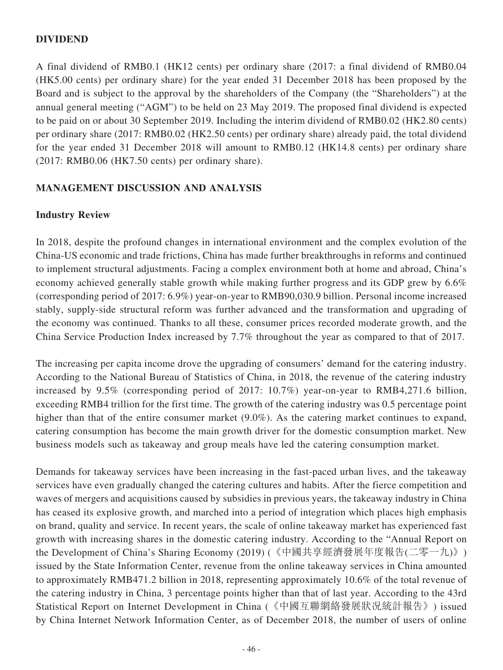## **DIVIDEND**

A final dividend of RMB0.1 (HK12 cents) per ordinary share (2017: a final dividend of RMB0.04 (HK5.00 cents) per ordinary share) for the year ended 31 December 2018 has been proposed by the Board and is subject to the approval by the shareholders of the Company (the "Shareholders") at the annual general meeting ("AGM") to be held on 23 May 2019. The proposed final dividend is expected to be paid on or about 30 September 2019. Including the interim dividend of RMB0.02 (HK2.80 cents) per ordinary share (2017: RMB0.02 (HK2.50 cents) per ordinary share) already paid, the total dividend for the year ended 31 December 2018 will amount to RMB0.12 (HK14.8 cents) per ordinary share (2017: RMB0.06 (HK7.50 cents) per ordinary share).

## **MANAGEMENT DISCUSSION AND ANALYSIS**

## **Industry Review**

In 2018, despite the profound changes in international environment and the complex evolution of the China-US economic and trade frictions, China has made further breakthroughs in reforms and continued to implement structural adjustments. Facing a complex environment both at home and abroad, China's economy achieved generally stable growth while making further progress and its GDP grew by 6.6% (corresponding period of 2017: 6.9%) year-on-year to RMB90,030.9 billion. Personal income increased stably, supply-side structural reform was further advanced and the transformation and upgrading of the economy was continued. Thanks to all these, consumer prices recorded moderate growth, and the China Service Production Index increased by 7.7% throughout the year as compared to that of 2017.

The increasing per capita income drove the upgrading of consumers' demand for the catering industry. According to the National Bureau of Statistics of China, in 2018, the revenue of the catering industry increased by 9.5% (corresponding period of 2017: 10.7%) year-on-year to RMB4,271.6 billion, exceeding RMB4 trillion for the first time. The growth of the catering industry was 0.5 percentage point higher than that of the entire consumer market (9.0%). As the catering market continues to expand, catering consumption has become the main growth driver for the domestic consumption market. New business models such as takeaway and group meals have led the catering consumption market.

Demands for takeaway services have been increasing in the fast-paced urban lives, and the takeaway services have even gradually changed the catering cultures and habits. After the fierce competition and waves of mergers and acquisitions caused by subsidies in previous years, the takeaway industry in China has ceased its explosive growth, and marched into a period of integration which places high emphasis on brand, quality and service. In recent years, the scale of online takeaway market has experienced fast growth with increasing shares in the domestic catering industry. According to the "Annual Report on the Development of China's Sharing Economy (2019) (《中國共享經濟發展年度報告(二零一九)》) issued by the State Information Center, revenue from the online takeaway services in China amounted to approximately RMB471.2 billion in 2018, representing approximately 10.6% of the total revenue of the catering industry in China, 3 percentage points higher than that of last year. According to the 43rd Statistical Report on Internet Development in China (《中國互聯網絡發展狀况統計報告》) issued by China Internet Network Information Center, as of December 2018, the number of users of online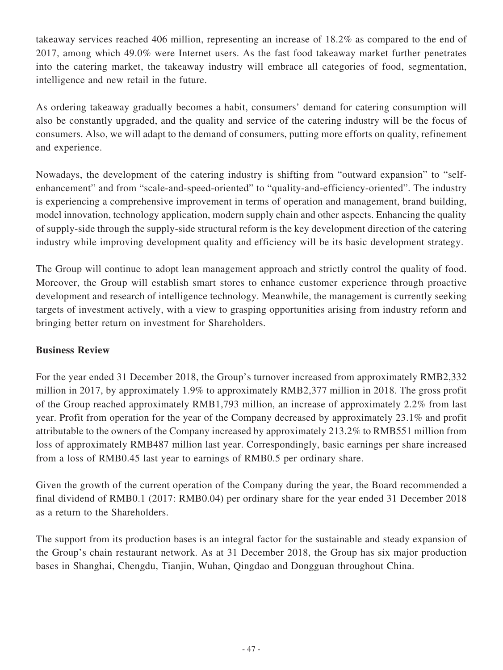takeaway services reached 406 million, representing an increase of 18.2% as compared to the end of 2017, among which 49.0% were Internet users. As the fast food takeaway market further penetrates into the catering market, the takeaway industry will embrace all categories of food, segmentation, intelligence and new retail in the future.

As ordering takeaway gradually becomes a habit, consumers' demand for catering consumption will also be constantly upgraded, and the quality and service of the catering industry will be the focus of consumers. Also, we will adapt to the demand of consumers, putting more efforts on quality, refinement and experience.

Nowadays, the development of the catering industry is shifting from "outward expansion" to "selfenhancement" and from "scale-and-speed-oriented" to "quality-and-efficiency-oriented". The industry is experiencing a comprehensive improvement in terms of operation and management, brand building, model innovation, technology application, modern supply chain and other aspects. Enhancing the quality of supply-side through the supply-side structural reform is the key development direction of the catering industry while improving development quality and efficiency will be its basic development strategy.

The Group will continue to adopt lean management approach and strictly control the quality of food. Moreover, the Group will establish smart stores to enhance customer experience through proactive development and research of intelligence technology. Meanwhile, the management is currently seeking targets of investment actively, with a view to grasping opportunities arising from industry reform and bringing better return on investment for Shareholders.

# **Business Review**

For the year ended 31 December 2018, the Group's turnover increased from approximately RMB2,332 million in 2017, by approximately 1.9% to approximately RMB2,377 million in 2018. The gross profit of the Group reached approximately RMB1,793 million, an increase of approximately 2.2% from last year. Profit from operation for the year of the Company decreased by approximately 23.1% and profit attributable to the owners of the Company increased by approximately 213.2% to RMB551 million from loss of approximately RMB487 million last year. Correspondingly, basic earnings per share increased from a loss of RMB0.45 last year to earnings of RMB0.5 per ordinary share.

Given the growth of the current operation of the Company during the year, the Board recommended a final dividend of RMB0.1 (2017: RMB0.04) per ordinary share for the year ended 31 December 2018 as a return to the Shareholders.

The support from its production bases is an integral factor for the sustainable and steady expansion of the Group's chain restaurant network. As at 31 December 2018, the Group has six major production bases in Shanghai, Chengdu, Tianjin, Wuhan, Qingdao and Dongguan throughout China.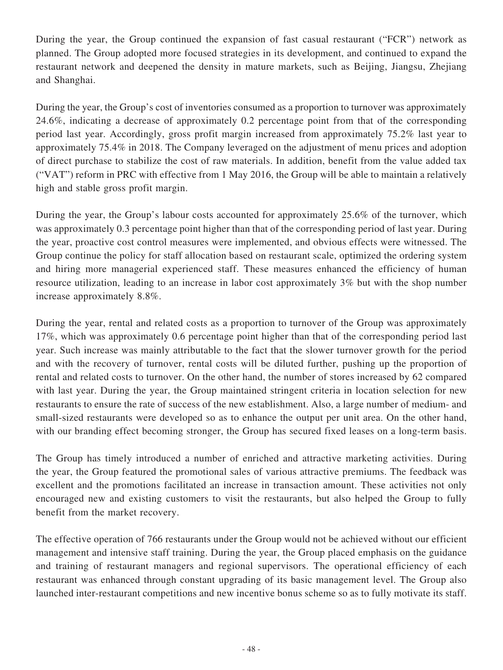During the year, the Group continued the expansion of fast casual restaurant ("FCR") network as planned. The Group adopted more focused strategies in its development, and continued to expand the restaurant network and deepened the density in mature markets, such as Beijing, Jiangsu, Zhejiang and Shanghai.

During the year, the Group's cost of inventories consumed as a proportion to turnover was approximately 24.6%, indicating a decrease of approximately 0.2 percentage point from that of the corresponding period last year. Accordingly, gross profit margin increased from approximately 75.2% last year to approximately 75.4% in 2018. The Company leveraged on the adjustment of menu prices and adoption of direct purchase to stabilize the cost of raw materials. In addition, benefit from the value added tax ("VAT") reform in PRC with effective from 1 May 2016, the Group will be able to maintain a relatively high and stable gross profit margin.

During the year, the Group's labour costs accounted for approximately 25.6% of the turnover, which was approximately 0.3 percentage point higher than that of the corresponding period of last year. During the year, proactive cost control measures were implemented, and obvious effects were witnessed. The Group continue the policy for staff allocation based on restaurant scale, optimized the ordering system and hiring more managerial experienced staff. These measures enhanced the efficiency of human resource utilization, leading to an increase in labor cost approximately 3% but with the shop number increase approximately 8.8%.

During the year, rental and related costs as a proportion to turnover of the Group was approximately 17%, which was approximately 0.6 percentage point higher than that of the corresponding period last year. Such increase was mainly attributable to the fact that the slower turnover growth for the period and with the recovery of turnover, rental costs will be diluted further, pushing up the proportion of rental and related costs to turnover. On the other hand, the number of stores increased by 62 compared with last year. During the year, the Group maintained stringent criteria in location selection for new restaurants to ensure the rate of success of the new establishment. Also, a large number of medium- and small-sized restaurants were developed so as to enhance the output per unit area. On the other hand, with our branding effect becoming stronger, the Group has secured fixed leases on a long-term basis.

The Group has timely introduced a number of enriched and attractive marketing activities. During the year, the Group featured the promotional sales of various attractive premiums. The feedback was excellent and the promotions facilitated an increase in transaction amount. These activities not only encouraged new and existing customers to visit the restaurants, but also helped the Group to fully benefit from the market recovery.

The effective operation of 766 restaurants under the Group would not be achieved without our efficient management and intensive staff training. During the year, the Group placed emphasis on the guidance and training of restaurant managers and regional supervisors. The operational efficiency of each restaurant was enhanced through constant upgrading of its basic management level. The Group also launched inter-restaurant competitions and new incentive bonus scheme so as to fully motivate its staff.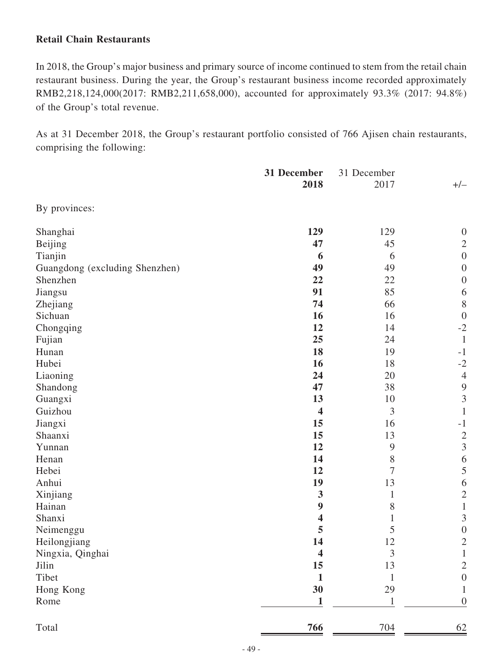## **Retail Chain Restaurants**

In 2018, the Group's major business and primary source of income continued to stem from the retail chain restaurant business. During the year, the Group's restaurant business income recorded approximately RMB2,218,124,000(2017: RMB2,211,658,000), accounted for approximately 93.3% (2017: 94.8%) of the Group's total revenue.

As at 31 December 2018, the Group's restaurant portfolio consisted of 766 Ajisen chain restaurants, comprising the following:

|                                | 31 December             | 31 December    |                  |  |
|--------------------------------|-------------------------|----------------|------------------|--|
|                                | 2018                    | 2017           | $+/-$            |  |
| By provinces:                  |                         |                |                  |  |
| Shanghai                       | 129                     | 129            | $\overline{0}$   |  |
| Beijing                        | 47                      | 45             | $\mathbf{2}$     |  |
| Tianjin                        | 6                       | 6              | $\boldsymbol{0}$ |  |
| Guangdong (excluding Shenzhen) | 49                      | 49             | $\boldsymbol{0}$ |  |
| Shenzhen                       | 22                      | 22             | $\boldsymbol{0}$ |  |
| Jiangsu                        | 91                      | 85             | 6                |  |
| Zhejiang                       | 74                      | 66             | $8\,$            |  |
| Sichuan                        | 16                      | 16             | $\boldsymbol{0}$ |  |
| Chongqing                      | 12                      | 14             | $-2$             |  |
| Fujian                         | 25                      | 24             | $\mathbf{1}$     |  |
| Hunan                          | 18                      | 19             | $-1$             |  |
| Hubei                          | 16                      | 18             | $-2$             |  |
| Liaoning                       | 24                      | 20             | $\overline{4}$   |  |
| Shandong                       | 47                      | 38             | 9                |  |
| Guangxi                        | 13                      | 10             | $\mathfrak{Z}$   |  |
| Guizhou                        | 4                       | 3              | $\mathbf{1}$     |  |
| Jiangxi                        | 15                      | 16             | $-1$             |  |
| Shaanxi                        | 15                      | 13             | $\sqrt{2}$       |  |
| Yunnan                         | 12                      | 9              | $\mathfrak{Z}$   |  |
| Henan                          | 14                      | 8              | $\boldsymbol{6}$ |  |
| Hebei                          | 12                      | 7              | 5                |  |
| Anhui                          | 19                      | 13             | 6                |  |
| Xinjiang                       | 3                       | 1              | $\overline{c}$   |  |
| Hainan                         | $\boldsymbol{9}$        | 8              | $\,1\,$          |  |
| Shanxi                         | 4                       | 1              | $\mathfrak{Z}$   |  |
| Neimenggu                      | 5                       | 5              | $\boldsymbol{0}$ |  |
| Heilongjiang                   | 14                      | 12             | $\overline{2}$   |  |
| Ningxia, Qinghai               | $\overline{\mathbf{4}}$ | $\mathfrak{Z}$ | I                |  |
| Jilin                          | 15                      | 13             | $\overline{c}$   |  |
| Tibet                          | $\mathbf{1}$            | $\mathbf{1}$   | $\boldsymbol{0}$ |  |
| Hong Kong                      | 30                      | 29             | $\mathbf{1}$     |  |
| Rome                           | 1                       | $\mathbf{1}$   | $\boldsymbol{0}$ |  |
| Total                          | 766                     | 704            | 62               |  |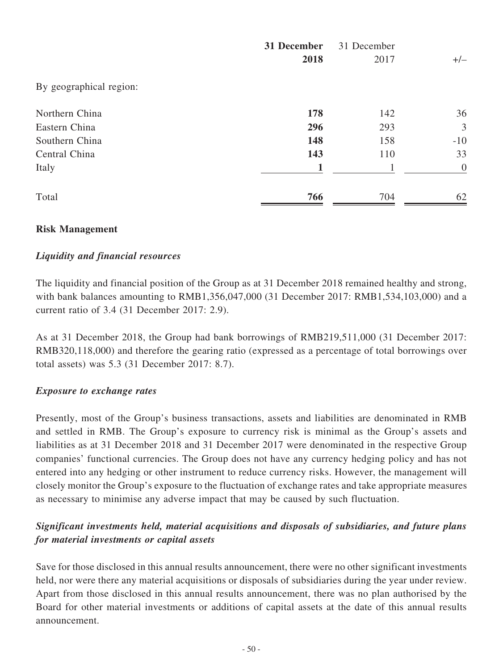|                         | 31 December<br>2018 | 31 December<br>2017 | $+/-$          |
|-------------------------|---------------------|---------------------|----------------|
| By geographical region: |                     |                     |                |
| Northern China          | 178                 | 142                 | 36             |
| Eastern China           | 296                 | 293                 | 3              |
| Southern China          | 148                 | 158                 | $-10$          |
| Central China           | 143                 | 110                 | 33             |
| Italy                   | 1                   | 1                   | $\overline{0}$ |
| Total                   | 766                 | 704                 | 62             |

## **Risk Management**

## *Liquidity and financial resources*

The liquidity and financial position of the Group as at 31 December 2018 remained healthy and strong, with bank balances amounting to RMB1,356,047,000 (31 December 2017: RMB1,534,103,000) and a current ratio of 3.4 (31 December 2017: 2.9).

As at 31 December 2018, the Group had bank borrowings of RMB219,511,000 (31 December 2017: RMB320,118,000) and therefore the gearing ratio (expressed as a percentage of total borrowings over total assets) was 5.3 (31 December 2017: 8.7).

## *Exposure to exchange rates*

Presently, most of the Group's business transactions, assets and liabilities are denominated in RMB and settled in RMB. The Group's exposure to currency risk is minimal as the Group's assets and liabilities as at 31 December 2018 and 31 December 2017 were denominated in the respective Group companies' functional currencies. The Group does not have any currency hedging policy and has not entered into any hedging or other instrument to reduce currency risks. However, the management will closely monitor the Group's exposure to the fluctuation of exchange rates and take appropriate measures as necessary to minimise any adverse impact that may be caused by such fluctuation.

# *Significant investments held, material acquisitions and disposals of subsidiaries, and future plans for material investments or capital assets*

Save for those disclosed in this annual results announcement, there were no other significant investments held, nor were there any material acquisitions or disposals of subsidiaries during the year under review. Apart from those disclosed in this annual results announcement, there was no plan authorised by the Board for other material investments or additions of capital assets at the date of this annual results announcement.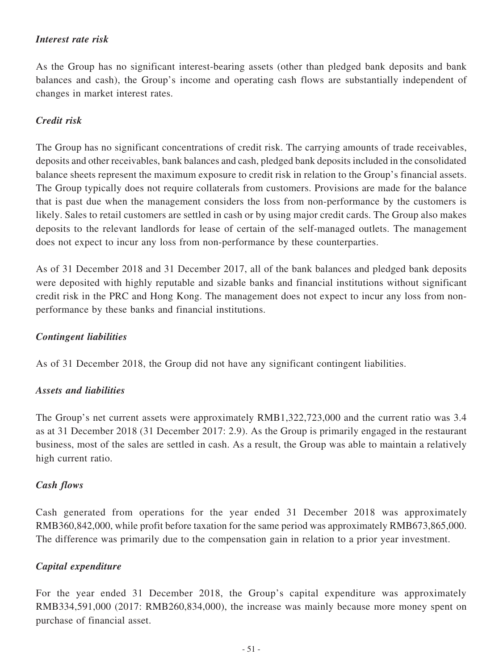## *Interest rate risk*

As the Group has no significant interest-bearing assets (other than pledged bank deposits and bank balances and cash), the Group's income and operating cash flows are substantially independent of changes in market interest rates.

## *Credit risk*

The Group has no significant concentrations of credit risk. The carrying amounts of trade receivables, deposits and other receivables, bank balances and cash, pledged bank deposits included in the consolidated balance sheets represent the maximum exposure to credit risk in relation to the Group's financial assets. The Group typically does not require collaterals from customers. Provisions are made for the balance that is past due when the management considers the loss from non-performance by the customers is likely. Sales to retail customers are settled in cash or by using major credit cards. The Group also makes deposits to the relevant landlords for lease of certain of the self-managed outlets. The management does not expect to incur any loss from non-performance by these counterparties.

As of 31 December 2018 and 31 December 2017, all of the bank balances and pledged bank deposits were deposited with highly reputable and sizable banks and financial institutions without significant credit risk in the PRC and Hong Kong. The management does not expect to incur any loss from nonperformance by these banks and financial institutions.

### *Contingent liabilities*

As of 31 December 2018, the Group did not have any significant contingent liabilities.

### *Assets and liabilities*

The Group's net current assets were approximately RMB1,322,723,000 and the current ratio was 3.4 as at 31 December 2018 (31 December 2017: 2.9). As the Group is primarily engaged in the restaurant business, most of the sales are settled in cash. As a result, the Group was able to maintain a relatively high current ratio.

### *Cash flows*

Cash generated from operations for the year ended 31 December 2018 was approximately RMB360,842,000, while profit before taxation for the same period was approximately RMB673,865,000. The difference was primarily due to the compensation gain in relation to a prior year investment.

### *Capital expenditure*

For the year ended 31 December 2018, the Group's capital expenditure was approximately RMB334,591,000 (2017: RMB260,834,000), the increase was mainly because more money spent on purchase of financial asset.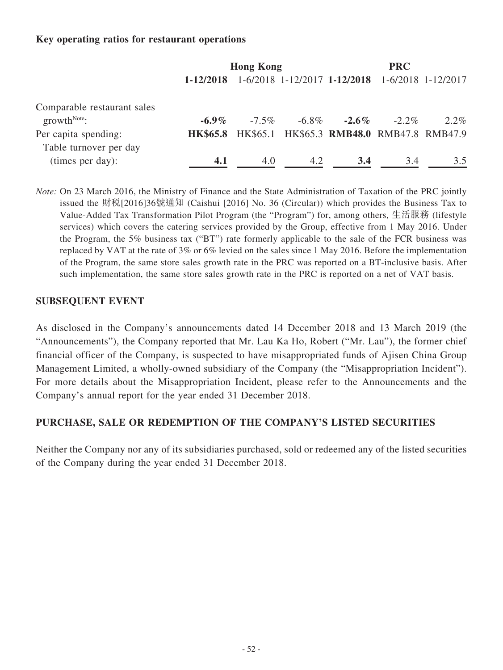## **Key operating ratios for restaurant operations**

|                                               | <b>Hong Kong</b> |          | <b>PRC</b> |                                           |          |                    |
|-----------------------------------------------|------------------|----------|------------|-------------------------------------------|----------|--------------------|
|                                               | 1-12/2018        |          |            | $1-6/2018$ 1-12/2017 1-12/2018            |          | 1-6/2018 1-12/2017 |
| Comparable restaurant sales<br>$growthNote$ : | $-6.9\%$         | $-7.5\%$ | $-6.8\%$   | $-2.6\%$                                  | $-2.2\%$ | $2.2\%$            |
| Per capita spending:                          | <b>HK\$65.8</b>  |          |            | HK\$65.1 HK\$65.3 RMB48.0 RMB47.8 RMB47.9 |          |                    |
| Table turnover per day                        |                  |          |            |                                           |          |                    |
| (times per day):                              | 4.1              | 4.0      | 4.2        | 3.4                                       | 3.4      | 3.5                |

*Note:* On 23 March 2016, the Ministry of Finance and the State Administration of Taxation of the PRC jointly issued the 財稅[2016]36號通知 (Caishui [2016] No. 36 (Circular)) which provides the Business Tax to Value-Added Tax Transformation Pilot Program (the "Program") for, among others, 生活服務 (lifestyle services) which covers the catering services provided by the Group, effective from 1 May 2016. Under the Program, the 5% business tax ("BT") rate formerly applicable to the sale of the FCR business was replaced by VAT at the rate of 3% or 6% levied on the sales since 1 May 2016. Before the implementation of the Program, the same store sales growth rate in the PRC was reported on a BT-inclusive basis. After such implementation, the same store sales growth rate in the PRC is reported on a net of VAT basis.

### **SUBSEQUENT EVENT**

As disclosed in the Company's announcements dated 14 December 2018 and 13 March 2019 (the "Announcements"), the Company reported that Mr. Lau Ka Ho, Robert ("Mr. Lau"), the former chief financial officer of the Company, is suspected to have misappropriated funds of Ajisen China Group Management Limited, a wholly-owned subsidiary of the Company (the "Misappropriation Incident"). For more details about the Misappropriation Incident, please refer to the Announcements and the Company's annual report for the year ended 31 December 2018.

### **PURCHASE, SALE OR REDEMPTION OF THE COMPANY'S LISTED SECURITIES**

Neither the Company nor any of its subsidiaries purchased, sold or redeemed any of the listed securities of the Company during the year ended 31 December 2018.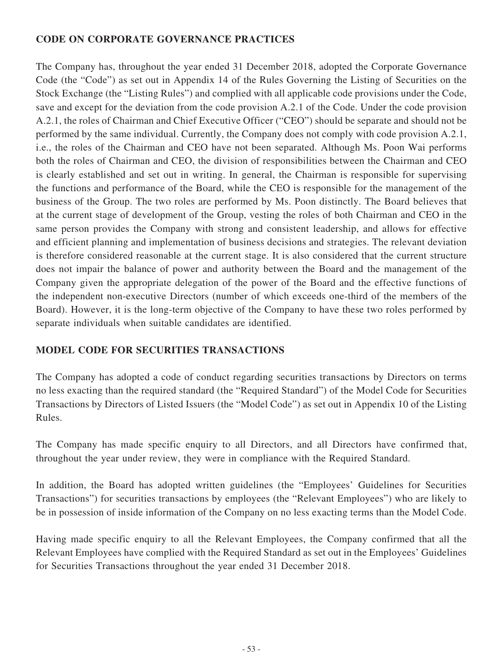# **CODE ON CORPORATE GOVERNANCE PRACTICES**

The Company has, throughout the year ended 31 December 2018, adopted the Corporate Governance Code (the "Code") as set out in Appendix 14 of the Rules Governing the Listing of Securities on the Stock Exchange (the "Listing Rules") and complied with all applicable code provisions under the Code, save and except for the deviation from the code provision A.2.1 of the Code. Under the code provision A.2.1, the roles of Chairman and Chief Executive Officer ("CEO") should be separate and should not be performed by the same individual. Currently, the Company does not comply with code provision A.2.1, i.e., the roles of the Chairman and CEO have not been separated. Although Ms. Poon Wai performs both the roles of Chairman and CEO, the division of responsibilities between the Chairman and CEO is clearly established and set out in writing. In general, the Chairman is responsible for supervising the functions and performance of the Board, while the CEO is responsible for the management of the business of the Group. The two roles are performed by Ms. Poon distinctly. The Board believes that at the current stage of development of the Group, vesting the roles of both Chairman and CEO in the same person provides the Company with strong and consistent leadership, and allows for effective and efficient planning and implementation of business decisions and strategies. The relevant deviation is therefore considered reasonable at the current stage. It is also considered that the current structure does not impair the balance of power and authority between the Board and the management of the Company given the appropriate delegation of the power of the Board and the effective functions of the independent non-executive Directors (number of which exceeds one-third of the members of the Board). However, it is the long-term objective of the Company to have these two roles performed by separate individuals when suitable candidates are identified.

# **MODEL CODE FOR SECURITIES TRANSACTIONS**

The Company has adopted a code of conduct regarding securities transactions by Directors on terms no less exacting than the required standard (the "Required Standard") of the Model Code for Securities Transactions by Directors of Listed Issuers (the "Model Code") as set out in Appendix 10 of the Listing Rules.

The Company has made specific enquiry to all Directors, and all Directors have confirmed that, throughout the year under review, they were in compliance with the Required Standard.

In addition, the Board has adopted written guidelines (the "Employees' Guidelines for Securities Transactions") for securities transactions by employees (the "Relevant Employees") who are likely to be in possession of inside information of the Company on no less exacting terms than the Model Code.

Having made specific enquiry to all the Relevant Employees, the Company confirmed that all the Relevant Employees have complied with the Required Standard as set out in the Employees' Guidelines for Securities Transactions throughout the year ended 31 December 2018.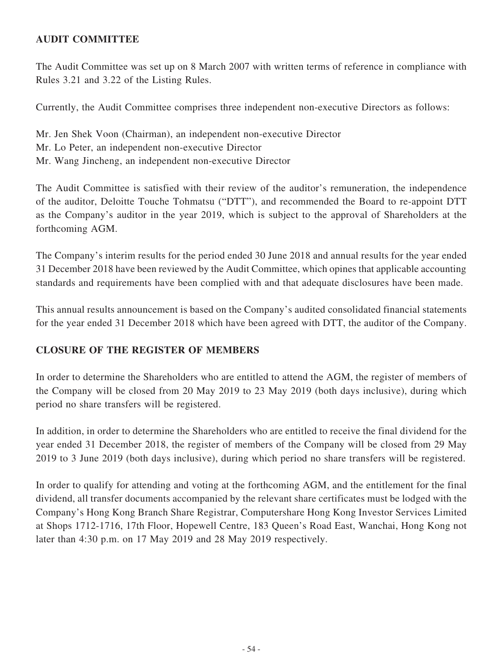# **AUDIT COMMITTEE**

The Audit Committee was set up on 8 March 2007 with written terms of reference in compliance with Rules 3.21 and 3.22 of the Listing Rules.

Currently, the Audit Committee comprises three independent non-executive Directors as follows:

Mr. Jen Shek Voon (Chairman), an independent non-executive Director Mr. Lo Peter, an independent non-executive Director Mr. Wang Jincheng, an independent non-executive Director

The Audit Committee is satisfied with their review of the auditor's remuneration, the independence of the auditor, Deloitte Touche Tohmatsu ("DTT"), and recommended the Board to re-appoint DTT as the Company's auditor in the year 2019, which is subject to the approval of Shareholders at the forthcoming AGM.

The Company's interim results for the period ended 30 June 2018 and annual results for the year ended 31 December 2018 have been reviewed by the Audit Committee, which opines that applicable accounting standards and requirements have been complied with and that adequate disclosures have been made.

This annual results announcement is based on the Company's audited consolidated financial statements for the year ended 31 December 2018 which have been agreed with DTT, the auditor of the Company.

# **CLOSURE OF THE REGISTER OF MEMBERS**

In order to determine the Shareholders who are entitled to attend the AGM, the register of members of the Company will be closed from 20 May 2019 to 23 May 2019 (both days inclusive), during which period no share transfers will be registered.

In addition, in order to determine the Shareholders who are entitled to receive the final dividend for the year ended 31 December 2018, the register of members of the Company will be closed from 29 May 2019 to 3 June 2019 (both days inclusive), during which period no share transfers will be registered.

In order to qualify for attending and voting at the forthcoming AGM, and the entitlement for the final dividend, all transfer documents accompanied by the relevant share certificates must be lodged with the Company's Hong Kong Branch Share Registrar, Computershare Hong Kong Investor Services Limited at Shops 1712-1716, 17th Floor, Hopewell Centre, 183 Queen's Road East, Wanchai, Hong Kong not later than 4:30 p.m. on 17 May 2019 and 28 May 2019 respectively.